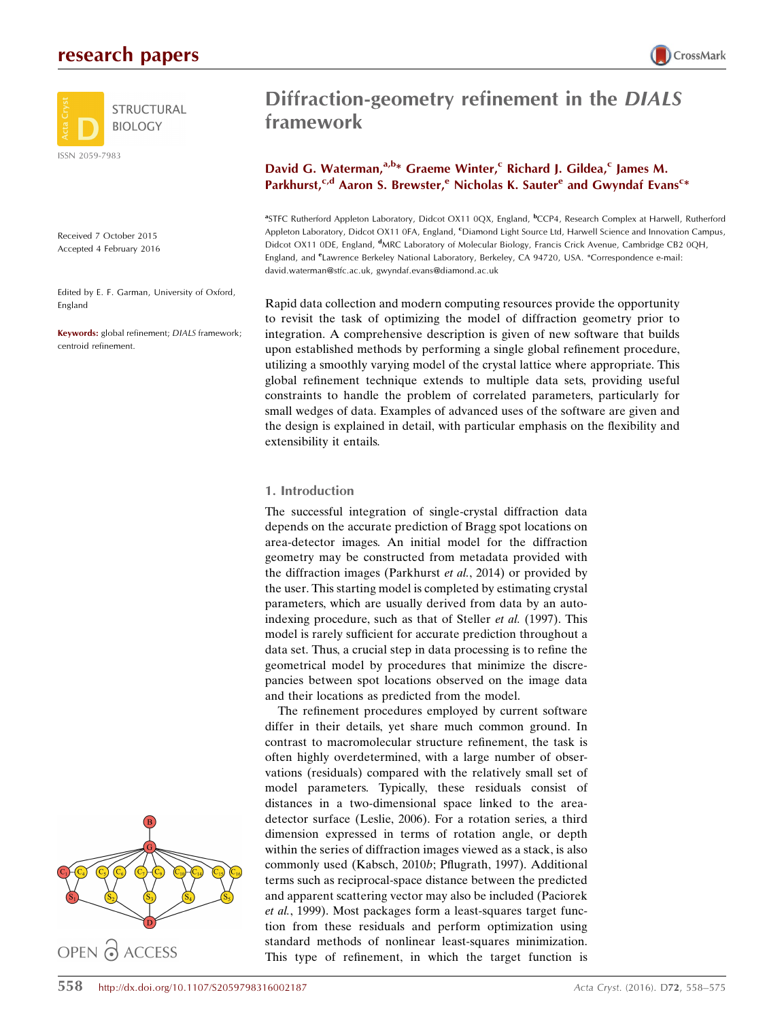

Received 7 October 2015 Accepted 4 February 2016

Edited by E. F. Garman, University of Oxford, England

Keywords: global refinement; DIALS framework; centroid refinement.



# Diffraction-geometry refinement in the DIALS framework

## David G. Waterman,  $a, b*$  Graeme Winter,<sup>c</sup> Richard J. Gildea,<sup>c</sup> James M. Parkhurst,<sup>c,d</sup> Aaron S. Brewster,<sup>e</sup> Nicholas K. Sauter<sup>e</sup> and Gwyndaf Evans<sup>c\*</sup>

<sup>a</sup>STFC Rutherford Appleton Laboratory, Didcot OX11 0QX, England, <sup>b</sup>CCP4, Research Complex at Harwell, Rutherford Appleton Laboratory, Didcot OX11 0FA, England, <sup>c</sup>Diamond Light Source Ltd, Harwell Science and Innovation Campus, Didcot OX11 0DE, England, <sup>d</sup>MRC Laboratory of Molecular Biology, Francis Crick Avenue, Cambridge CB2 0QH, England, and *<sup>e</sup>Lawrence Berkeley National Laboratory*, Berkeley, CA 94720, USA. \*Correspondence e-mail: david.waterman@stfc.ac.uk, gwyndaf.evans@diamond.ac.uk

Rapid data collection and modern computing resources provide the opportunity to revisit the task of optimizing the model of diffraction geometry prior to integration. A comprehensive description is given of new software that builds upon established methods by performing a single global refinement procedure, utilizing a smoothly varying model of the crystal lattice where appropriate. This global refinement technique extends to multiple data sets, providing useful constraints to handle the problem of correlated parameters, particularly for small wedges of data. Examples of advanced uses of the software are given and the design is explained in detail, with particular emphasis on the flexibility and extensibility it entails.

### 1. Introduction

The successful integration of single-crystal diffraction data depends on the accurate prediction of Bragg spot locations on area-detector images. An initial model for the diffraction geometry may be constructed from metadata provided with the diffraction images (Parkhurst et al., 2014) or provided by the user. This starting model is completed by estimating crystal parameters, which are usually derived from data by an autoindexing procedure, such as that of Steller et al. (1997). This model is rarely sufficient for accurate prediction throughout a data set. Thus, a crucial step in data processing is to refine the geometrical model by procedures that minimize the discrepancies between spot locations observed on the image data and their locations as predicted from the model.

The refinement procedures employed by current software differ in their details, yet share much common ground. In contrast to macromolecular structure refinement, the task is often highly overdetermined, with a large number of observations (residuals) compared with the relatively small set of model parameters. Typically, these residuals consist of distances in a two-dimensional space linked to the areadetector surface (Leslie, 2006). For a rotation series, a third dimension expressed in terms of rotation angle, or depth within the series of diffraction images viewed as a stack, is also commonly used (Kabsch, 2010b; Pflugrath, 1997). Additional terms such as reciprocal-space distance between the predicted and apparent scattering vector may also be included (Paciorek et al., 1999). Most packages form a least-squares target function from these residuals and perform optimization using standard methods of nonlinear least-squares minimization. This type of refinement, in which the target function is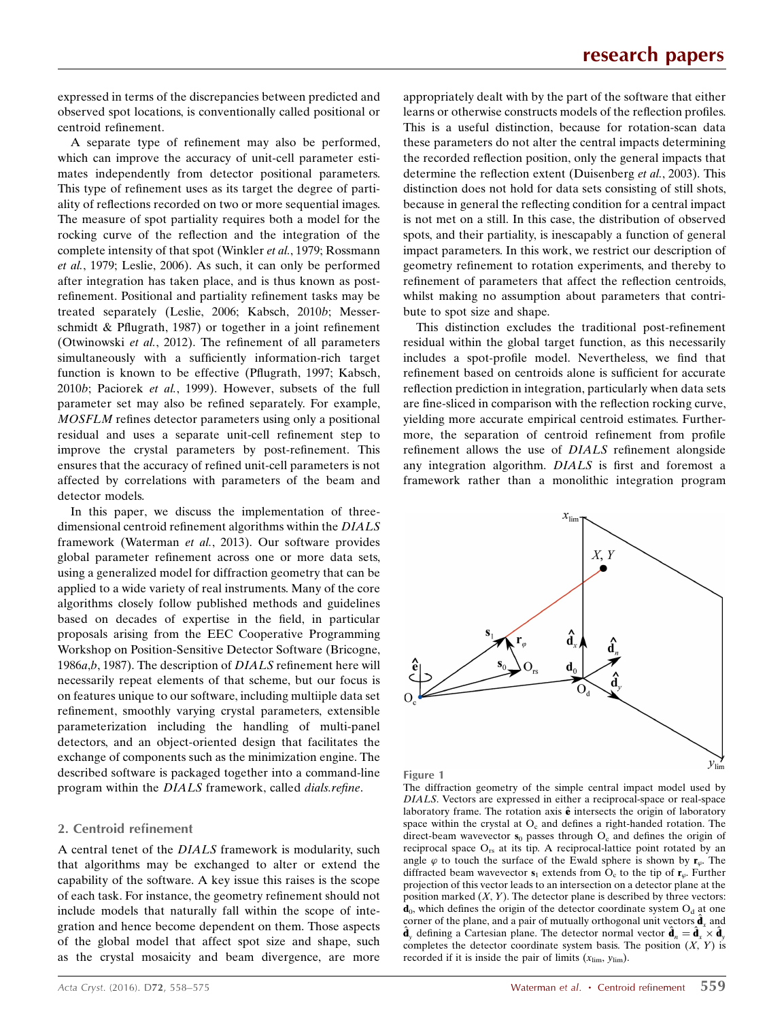expressed in terms of the discrepancies between predicted and observed spot locations, is conventionally called positional or centroid refinement.

A separate type of refinement may also be performed, which can improve the accuracy of unit-cell parameter estimates independently from detector positional parameters. This type of refinement uses as its target the degree of partiality of reflections recorded on two or more sequential images. The measure of spot partiality requires both a model for the rocking curve of the reflection and the integration of the complete intensity of that spot (Winkler et al., 1979; Rossmann et al., 1979; Leslie, 2006). As such, it can only be performed after integration has taken place, and is thus known as postrefinement. Positional and partiality refinement tasks may be treated separately (Leslie, 2006; Kabsch, 2010b; Messerschmidt & Pflugrath, 1987) or together in a joint refinement (Otwinowski et al., 2012). The refinement of all parameters simultaneously with a sufficiently information-rich target function is known to be effective (Pflugrath, 1997; Kabsch, 2010b; Paciorek et al., 1999). However, subsets of the full parameter set may also be refined separately. For example, MOSFLM refines detector parameters using only a positional residual and uses a separate unit-cell refinement step to improve the crystal parameters by post-refinement. This ensures that the accuracy of refined unit-cell parameters is not affected by correlations with parameters of the beam and detector models.

In this paper, we discuss the implementation of threedimensional centroid refinement algorithms within the DIALS framework (Waterman et al., 2013). Our software provides global parameter refinement across one or more data sets, using a generalized model for diffraction geometry that can be applied to a wide variety of real instruments. Many of the core algorithms closely follow published methods and guidelines based on decades of expertise in the field, in particular proposals arising from the EEC Cooperative Programming Workshop on Position-Sensitive Detector Software (Bricogne, 1986a,b, 1987). The description of DIALS refinement here will necessarily repeat elements of that scheme, but our focus is on features unique to our software, including multiiple data set refinement, smoothly varying crystal parameters, extensible parameterization including the handling of multi-panel detectors, and an object-oriented design that facilitates the exchange of components such as the minimization engine. The described software is packaged together into a command-line program within the DIALS framework, called dials.refine.

#### 2. Centroid refinement

A central tenet of the DIALS framework is modularity, such that algorithms may be exchanged to alter or extend the capability of the software. A key issue this raises is the scope of each task. For instance, the geometry refinement should not include models that naturally fall within the scope of integration and hence become dependent on them. Those aspects of the global model that affect spot size and shape, such as the crystal mosaicity and beam divergence, are more appropriately dealt with by the part of the software that either learns or otherwise constructs models of the reflection profiles. This is a useful distinction, because for rotation-scan data these parameters do not alter the central impacts determining the recorded reflection position, only the general impacts that determine the reflection extent (Duisenberg et al., 2003). This distinction does not hold for data sets consisting of still shots, because in general the reflecting condition for a central impact is not met on a still. In this case, the distribution of observed spots, and their partiality, is inescapably a function of general impact parameters. In this work, we restrict our description of geometry refinement to rotation experiments, and thereby to refinement of parameters that affect the reflection centroids, whilst making no assumption about parameters that contribute to spot size and shape.

This distinction excludes the traditional post-refinement residual within the global target function, as this necessarily includes a spot-profile model. Nevertheless, we find that refinement based on centroids alone is sufficient for accurate reflection prediction in integration, particularly when data sets are fine-sliced in comparison with the reflection rocking curve, yielding more accurate empirical centroid estimates. Furthermore, the separation of centroid refinement from profile refinement allows the use of DIALS refinement alongside any integration algorithm. DIALS is first and foremost a framework rather than a monolithic integration program



Figure 1

The diffraction geometry of the simple central impact model used by DIALS. Vectors are expressed in either a reciprocal-space or real-space laboratory frame. The rotation axis  $\hat{\mathbf{e}}$  intersects the origin of laboratory space within the crystal at  $O_c$  and defines a right-handed rotation. The direct-beam wavevector  $s_0$  passes through  $O_c$  and defines the origin of reciprocal space  $O_{rs}$  at its tip. A reciprocal-lattice point rotated by an angle  $\varphi$  to touch the surface of the Ewald sphere is shown by  $\mathbf{r}_{\varphi}$ . The diffracted beam wavevector  $s_1$  extends from  $O_c$  to the tip of  $r_{\varphi}$ . Further projection of this vector leads to an intersection on a detector plane at the position marked  $(X, Y)$ . The detector plane is described by three vectors:  $d_0$ , which defines the origin of the detector coordinate system  $O_d$  at one corner of the plane, and a pair of mutually orthogonal unit vectors  $\hat{\mathbf{d}}_x$  and  $\hat{\mathbf{d}}_y$  defining a Cartesian plane. The detector normal vector  $\hat{\mathbf{d}}_n = \hat{\mathbf{d}}_x^{\ \gamma} \times \hat{\mathbf{d}}_y^{\gamma}$ completes the detector coordinate system basis. The position  $(X, Y)$  is recorded if it is inside the pair of limits  $(x_{\text{lim}}, y_{\text{lim}})$ .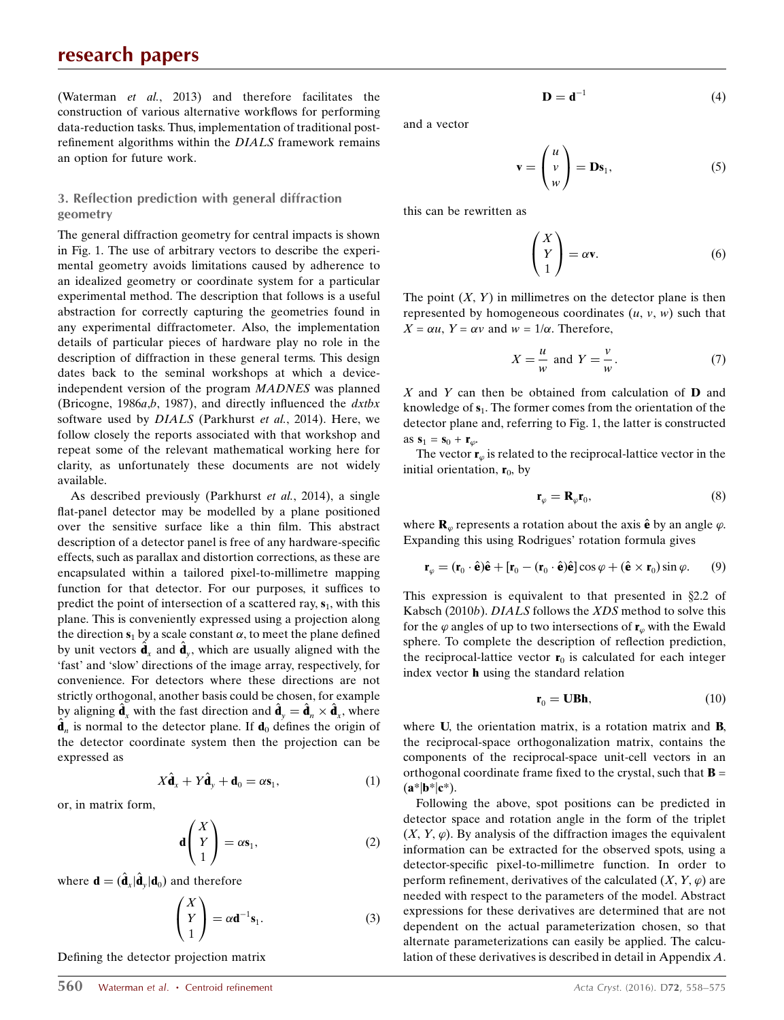(Waterman et al., 2013) and therefore facilitates the construction of various alternative workflows for performing data-reduction tasks. Thus, implementation of traditional postrefinement algorithms within the DIALS framework remains an option for future work.

### 3. Reflection prediction with general diffraction geometry

The general diffraction geometry for central impacts is shown in Fig. 1. The use of arbitrary vectors to describe the experimental geometry avoids limitations caused by adherence to an idealized geometry or coordinate system for a particular experimental method. The description that follows is a useful abstraction for correctly capturing the geometries found in any experimental diffractometer. Also, the implementation details of particular pieces of hardware play no role in the description of diffraction in these general terms. This design dates back to the seminal workshops at which a deviceindependent version of the program MADNES was planned (Bricogne, 1986a,b, 1987), and directly influenced the  $dx$ tbx software used by DIALS (Parkhurst et al., 2014). Here, we follow closely the reports associated with that workshop and repeat some of the relevant mathematical working here for clarity, as unfortunately these documents are not widely available.

As described previously (Parkhurst *et al.*, 2014), a single flat-panel detector may be modelled by a plane positioned over the sensitive surface like a thin film. This abstract description of a detector panel is free of any hardware-specific effects, such as parallax and distortion corrections, as these are encapsulated within a tailored pixel-to-millimetre mapping function for that detector. For our purposes, it suffices to predict the point of intersection of a scattered ray,  $s_1$ , with this plane. This is conveniently expressed using a projection along the direction  $s_1$  by a scale constant  $\alpha$ , to meet the plane defined by unit vectors  $\hat{\mathbf{d}}_x$  and  $\hat{\mathbf{d}}_y$ , which are usually aligned with the 'fast' and 'slow' directions of the image array, respectively, for convenience. For detectors where these directions are not strictly orthogonal, another basis could be chosen, for example by aligning  $\hat{\mathbf{d}}_x$  with the fast direction and  $\hat{\mathbf{d}}_y = \hat{\mathbf{d}}_n \times \hat{\mathbf{d}}_x$ , where  $\hat{\mathbf{d}}_n$  is normal to the detector plane. If  $\mathbf{d}_0$  defines the origin of the detector coordinate system then the projection can be expressed as

$$
X\hat{\mathbf{d}}_x + Y\hat{\mathbf{d}}_y + \mathbf{d}_0 = \alpha \mathbf{s}_1,\tag{1}
$$

or, in matrix form,

$$
\mathbf{d}\begin{pmatrix} X \\ Y \\ 1 \end{pmatrix} = \alpha \mathbf{s}_1, \tag{2}
$$

where  $\mathbf{d} = (\hat{\mathbf{d}}_x|\hat{\mathbf{d}}_y|\mathbf{d}_0)$  and therefore

$$
\begin{pmatrix} X \\ Y \\ 1 \end{pmatrix} = \alpha \mathbf{d}^{-1} \mathbf{s}_1.
$$
 (3)

Defining the detector projection matrix

and a vector

$$
\mathbf{v} = \begin{pmatrix} u \\ v \\ w \end{pmatrix} = \mathbf{D}\mathbf{s}_1, \tag{5}
$$

this can be rewritten as

$$
\begin{pmatrix} X \\ Y \\ 1 \end{pmatrix} = \alpha \mathbf{v}.\tag{6}
$$

The point  $(X, Y)$  in millimetres on the detector plane is then represented by homogeneous coordinates  $(u, v, w)$  such that  $X = \alpha u$ ,  $Y = \alpha v$  and  $w = 1/\alpha$ . Therefore,

$$
X = \frac{u}{w} \text{ and } Y = \frac{v}{w}.
$$
 (7)

 $X$  and Y can then be obtained from calculation of **D** and knowledge of  $s_1$ . The former comes from the orientation of the detector plane and, referring to Fig. 1, the latter is constructed as  $\mathbf{s}_1 = \mathbf{s}_0 + \mathbf{r}_{\varphi}$ .

The vector  $\mathbf{r}_{\varphi}$  is related to the reciprocal-lattice vector in the initial orientation,  $r_0$ , by

$$
\mathbf{r}_{\varphi} = \mathbf{R}_{\varphi} \mathbf{r}_0,\tag{8}
$$

where  $\mathbf{R}_{\varphi}$  represents a rotation about the axis  $\hat{\mathbf{e}}$  by an angle  $\varphi$ . Expanding this using Rodrigues' rotation formula gives

$$
\mathbf{r}_{\varphi} = (\mathbf{r}_0 \cdot \hat{\mathbf{e}})\hat{\mathbf{e}} + [\mathbf{r}_0 - (\mathbf{r}_0 \cdot \hat{\mathbf{e}})\hat{\mathbf{e}}] \cos \varphi + (\hat{\mathbf{e}} \times \mathbf{r}_0) \sin \varphi.
$$
 (9)

This expression is equivalent to that presented in  $\S 2.2$  of Kabsch (2010b). DIALS follows the XDS method to solve this for the  $\varphi$  angles of up to two intersections of  $\mathbf{r}_{\varphi}$  with the Ewald sphere. To complete the description of reflection prediction, the reciprocal-lattice vector  $r_0$  is calculated for each integer index vector h using the standard relation

$$
\mathbf{r}_0 = \mathbf{U}\mathbf{B}\mathbf{h},\tag{10}
$$

where **U**, the orientation matrix, is a rotation matrix and **B**, the reciprocal-space orthogonalization matrix, contains the components of the reciprocal-space unit-cell vectors in an orthogonal coordinate frame fixed to the crystal, such that  $\mathbf{B} =$  $(**a***|**b***|**c***).$ 

Following the above, spot positions can be predicted in detector space and rotation angle in the form of the triplet  $(X, Y, \varphi)$ . By analysis of the diffraction images the equivalent information can be extracted for the observed spots, using a detector-specific pixel-to-millimetre function. In order to perform refinement, derivatives of the calculated  $(X, Y, \varphi)$  are needed with respect to the parameters of the model. Abstract expressions for these derivatives are determined that are not dependent on the actual parameterization chosen, so that alternate parameterizations can easily be applied. The calculation of these derivatives is described in detail in Appendix A.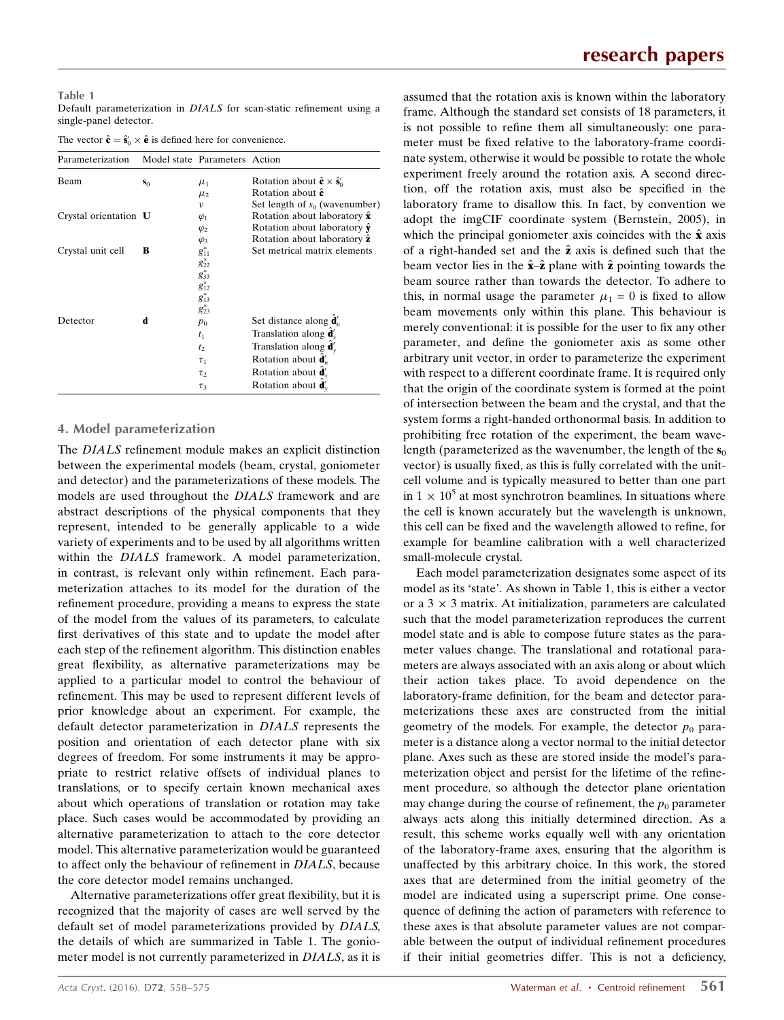#### Table 1 Default parameterization in DIALS for scan-static refinement using a single-panel detector.

The vector  $\hat{\mathbf{c}} = \hat{\mathbf{s}}_0' \times \hat{\mathbf{e}}$  is defined here for convenience.

| Parameterization      |       | Model state Parameters Action      |                                                             |
|-----------------------|-------|------------------------------------|-------------------------------------------------------------|
| Beam                  | $S_0$ | $\mu_1$                            | Rotation about $\hat{\mathbf{c}} \times \hat{\mathbf{s}}_0$ |
|                       |       | $\mu_{2}$                          | Rotation about $\hat{\mathbf{c}}$                           |
|                       |       | ν                                  | Set length of $s_0$ (wavenumber)                            |
| Crystal orientation U |       | $\varphi_1$                        | Rotation about laboratory $\hat{\mathbf{x}}$                |
|                       |       | $\varphi_2$                        | Rotation about laboratory $\hat{\mathbf{y}}$                |
|                       |       | $\varphi_3$                        | Rotation about laboratory $\hat{z}$                         |
| Crystal unit cell     | в     | $g_{11}^*$                         | Set metrical matrix elements                                |
|                       |       |                                    |                                                             |
|                       |       |                                    |                                                             |
|                       |       | $g_{22}^*g_{33}^*g_{12}^*g_{13}^*$ |                                                             |
|                       |       |                                    |                                                             |
|                       |       | $g_{23}^*$                         |                                                             |
| Detector              | d     | $p_0$                              | Set distance along $\mathbf{d}'_n$                          |
|                       |       | $t_1$                              | Translation along $\mathbf{d}'_x$                           |
|                       |       | t <sub>2</sub>                     | Translation along $\mathbf{d}'_v$                           |
|                       |       | $\tau_1$                           | Rotation about $\mathbf{d}'_n$                              |
|                       |       | $\tau_{2}$                         | Rotation about <b>d</b>                                     |
|                       |       | $\tau_3$                           | Rotation about $\mathbf{d}'_v$                              |

#### 4. Model parameterization

The DIALS refinement module makes an explicit distinction between the experimental models (beam, crystal, goniometer and detector) and the parameterizations of these models. The models are used throughout the DIALS framework and are abstract descriptions of the physical components that they represent, intended to be generally applicable to a wide variety of experiments and to be used by all algorithms written within the DIALS framework. A model parameterization, in contrast, is relevant only within refinement. Each parameterization attaches to its model for the duration of the refinement procedure, providing a means to express the state of the model from the values of its parameters, to calculate first derivatives of this state and to update the model after each step of the refinement algorithm. This distinction enables great flexibility, as alternative parameterizations may be applied to a particular model to control the behaviour of refinement. This may be used to represent different levels of prior knowledge about an experiment. For example, the default detector parameterization in DIALS represents the position and orientation of each detector plane with six degrees of freedom. For some instruments it may be appropriate to restrict relative offsets of individual planes to translations, or to specify certain known mechanical axes about which operations of translation or rotation may take place. Such cases would be accommodated by providing an alternative parameterization to attach to the core detector model. This alternative parameterization would be guaranteed to affect only the behaviour of refinement in DIALS, because the core detector model remains unchanged.

Alternative parameterizations offer great flexibility, but it is recognized that the majority of cases are well served by the default set of model parameterizations provided by DIALS, the details of which are summarized in Table 1. The goniometer model is not currently parameterized in DIALS, as it is assumed that the rotation axis is known within the laboratory frame. Although the standard set consists of 18 parameters, it is not possible to refine them all simultaneously: one parameter must be fixed relative to the laboratory-frame coordinate system, otherwise it would be possible to rotate the whole experiment freely around the rotation axis. A second direction, off the rotation axis, must also be specified in the laboratory frame to disallow this. In fact, by convention we adopt the imgCIF coordinate system (Bernstein, 2005), in which the principal goniometer axis coincides with the  $\hat{x}$  axis of a right-handed set and the  $\hat{z}$  axis is defined such that the beam vector lies in the  $\hat{\mathbf{x}}-\hat{\mathbf{z}}$  plane with  $\hat{\mathbf{z}}$  pointing towards the beam source rather than towards the detector. To adhere to this, in normal usage the parameter  $\mu_1 = 0$  is fixed to allow beam movements only within this plane. This behaviour is merely conventional: it is possible for the user to fix any other parameter, and define the goniometer axis as some other arbitrary unit vector, in order to parameterize the experiment with respect to a different coordinate frame. It is required only that the origin of the coordinate system is formed at the point of intersection between the beam and the crystal, and that the system forms a right-handed orthonormal basis. In addition to prohibiting free rotation of the experiment, the beam wavelength (parameterized as the wavenumber, the length of the  $s_0$ vector) is usually fixed, as this is fully correlated with the unitcell volume and is typically measured to better than one part in  $1 \times 10^5$  at most synchrotron beamlines. In situations where the cell is known accurately but the wavelength is unknown, this cell can be fixed and the wavelength allowed to refine, for example for beamline calibration with a well characterized small-molecule crystal.

Each model parameterization designates some aspect of its model as its 'state'. As shown in Table 1, this is either a vector or a  $3 \times 3$  matrix. At initialization, parameters are calculated such that the model parameterization reproduces the current model state and is able to compose future states as the parameter values change. The translational and rotational parameters are always associated with an axis along or about which their action takes place. To avoid dependence on the laboratory-frame definition, for the beam and detector parameterizations these axes are constructed from the initial geometry of the models. For example, the detector  $p_0$  parameter is a distance along a vector normal to the initial detector plane. Axes such as these are stored inside the model's parameterization object and persist for the lifetime of the refinement procedure, so although the detector plane orientation may change during the course of refinement, the  $p_0$  parameter always acts along this initially determined direction. As a result, this scheme works equally well with any orientation of the laboratory-frame axes, ensuring that the algorithm is unaffected by this arbitrary choice. In this work, the stored axes that are determined from the initial geometry of the model are indicated using a superscript prime. One consequence of defining the action of parameters with reference to these axes is that absolute parameter values are not comparable between the output of individual refinement procedures if their initial geometries differ. This is not a deficiency,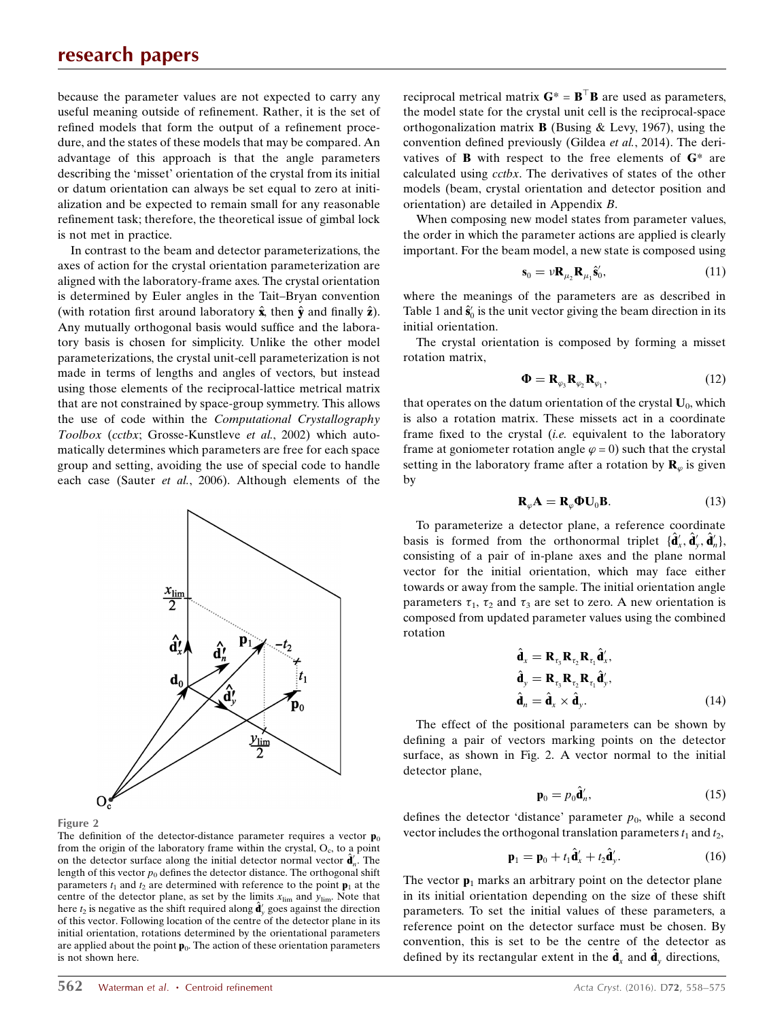because the parameter values are not expected to carry any useful meaning outside of refinement. Rather, it is the set of refined models that form the output of a refinement procedure, and the states of these models that may be compared. An advantage of this approach is that the angle parameters describing the 'misset' orientation of the crystal from its initial or datum orientation can always be set equal to zero at initialization and be expected to remain small for any reasonable refinement task; therefore, the theoretical issue of gimbal lock is not met in practice.

In contrast to the beam and detector parameterizations, the axes of action for the crystal orientation parameterization are aligned with the laboratory-frame axes. The crystal orientation is determined by Euler angles in the Tait–Bryan convention (with rotation first around laboratory  $\hat{\mathbf{x}}$ , then  $\hat{\mathbf{y}}$  and finally  $\hat{\mathbf{z}}$ ). Any mutually orthogonal basis would suffice and the laboratory basis is chosen for simplicity. Unlike the other model parameterizations, the crystal unit-cell parameterization is not made in terms of lengths and angles of vectors, but instead using those elements of the reciprocal-lattice metrical matrix that are not constrained by space-group symmetry. This allows the use of code within the Computational Crystallography Toolbox (cctbx; Grosse-Kunstleve et al., 2002) which automatically determines which parameters are free for each space group and setting, avoiding the use of special code to handle each case (Sauter et al., 2006). Although elements of the





The definition of the detector-distance parameter requires a vector  $\mathbf{p}_0$ from the origin of the laboratory frame within the crystal,  $O<sub>c</sub>$ , to a point on the detector surface along the initial detector normal vector  $\hat{\mathbf{d}}_n^i$ . The length of this vector  $p_0$  defines the detector distance. The orthogonal shift parameters  $t_1$  and  $t_2$  are determined with reference to the point  $\mathbf{p}_1$  at the centre of the detector plane, as set by the limits  $x_{\text{lim}}$  and  $y_{\text{lim}}$ . Note that here  $t_2$  is negative as the shift required along  $\hat{\mathbf{d}}'_y$  goes against the direction of this vector. Following location of the centre of the detector plane in its initial orientation, rotations determined by the orientational parameters are applied about the point  $\mathbf{p}_0$ . The action of these orientation parameters is not shown here.

reciprocal metrical matrix  $G^* = B^{\top}B$  are used as parameters, the model state for the crystal unit cell is the reciprocal-space orthogonalization matrix **B** (Busing  $\&$  Levy, 1967), using the convention defined previously (Gildea et al., 2014). The derivatives of **B** with respect to the free elements of  $G^*$  are calculated using cctbx. The derivatives of states of the other models (beam, crystal orientation and detector position and orientation) are detailed in Appendix B.

When composing new model states from parameter values, the order in which the parameter actions are applied is clearly important. For the beam model, a new state is composed using

$$
\mathbf{s}_0 = \nu \mathbf{R}_{\mu_2} \mathbf{R}_{\mu_1} \hat{\mathbf{s}}'_0,\tag{11}
$$

where the meanings of the parameters are as described in Table 1 and  $\hat{\mathbf{s}}_0^{\prime}$  is the unit vector giving the beam direction in its initial orientation.

The crystal orientation is composed by forming a misset rotation matrix,

$$
\mathbf{\Phi} = \mathbf{R}_{\varphi_3} \mathbf{R}_{\varphi_2} \mathbf{R}_{\varphi_1},\tag{12}
$$

that operates on the datum orientation of the crystal  $U_0$ , which is also a rotation matrix. These missets act in a coordinate frame fixed to the crystal *(i.e.* equivalent to the laboratory frame at goniometer rotation angle  $\varphi = 0$ ) such that the crystal setting in the laboratory frame after a rotation by  $\mathbf{R}_{\varphi}$  is given by

$$
\mathbf{R}_{\varphi}\mathbf{A} = \mathbf{R}_{\varphi}\mathbf{\Phi}\mathbf{U}_0\mathbf{B}.
$$
 (13)

To parameterize a detector plane, a reference coordinate basis is formed from the orthonormal triplet  $\{\hat{\mathbf{d}}_x^{\prime}, \hat{\mathbf{d}}_y^{\prime}, \hat{\mathbf{d}}_n^{\prime}\}$ , consisting of a pair of in-plane axes and the plane normal vector for the initial orientation, which may face either towards or away from the sample. The initial orientation angle parameters  $\tau_1$ ,  $\tau_2$  and  $\tau_3$  are set to zero. A new orientation is composed from updated parameter values using the combined rotation

$$
\hat{\mathbf{d}}_x = \mathbf{R}_{\tau_3} \mathbf{R}_{\tau_2} \mathbf{R}_{\tau_1} \hat{\mathbf{d}}'_x, \n\hat{\mathbf{d}}_y = \mathbf{R}_{\tau_3} \mathbf{R}_{\tau_2} \mathbf{R}_{\tau_1} \hat{\mathbf{d}}'_y, \n\hat{\mathbf{d}}_n = \hat{\mathbf{d}}_x \times \hat{\mathbf{d}}_y.
$$
\n(14)

The effect of the positional parameters can be shown by defining a pair of vectors marking points on the detector surface, as shown in Fig. 2. A vector normal to the initial detector plane,

$$
\mathbf{p}_0 = p_0 \hat{\mathbf{d}}'_n,\tag{15}
$$

defines the detector 'distance' parameter  $p_0$ , while a second vector includes the orthogonal translation parameters  $t_1$  and  $t_2$ ,

$$
\mathbf{p}_1 = \mathbf{p}_0 + t_1 \hat{\mathbf{d}}'_x + t_2 \hat{\mathbf{d}}'_y. \tag{16}
$$

The vector  $\mathbf{p}_1$  marks an arbitrary point on the detector plane in its initial orientation depending on the size of these shift parameters. To set the initial values of these parameters, a reference point on the detector surface must be chosen. By convention, this is set to be the centre of the detector as defined by its rectangular extent in the  $\hat{\mathbf{d}}_x$  and  $\hat{\mathbf{d}}_y$  directions,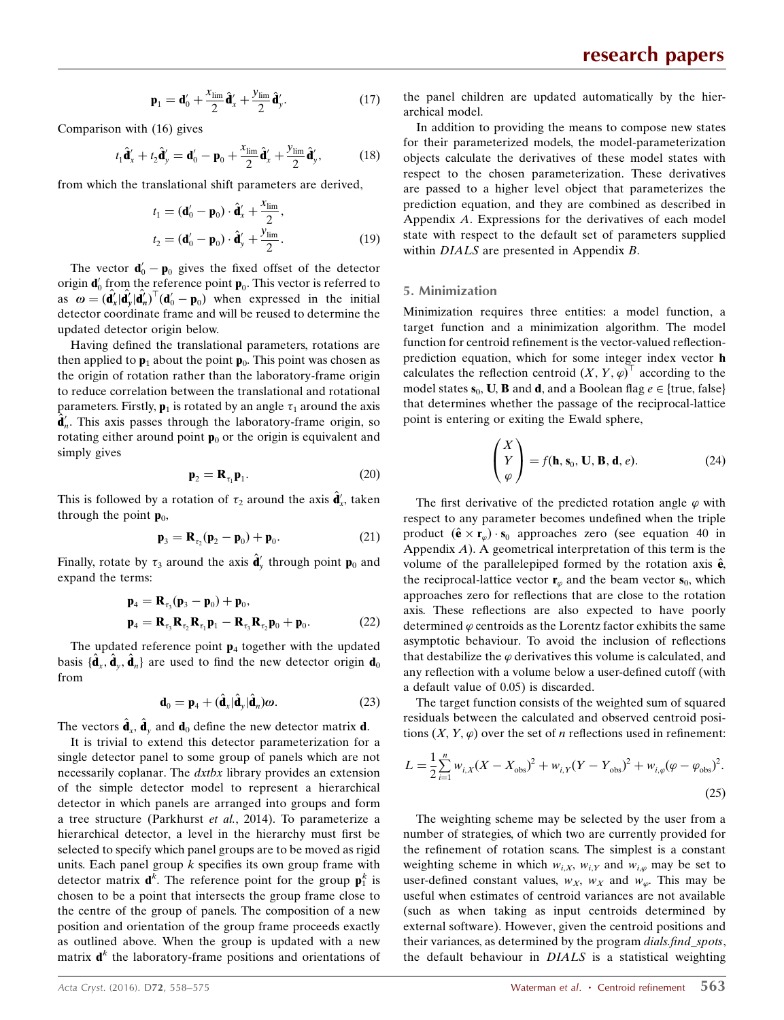$$
\mathbf{p}_1 = \mathbf{d}'_0 + \frac{x_{\text{lim}}}{2} \hat{\mathbf{d}}'_x + \frac{y_{\text{lim}}}{2} \hat{\mathbf{d}}'_y. \tag{17}
$$

Comparison with (16) gives

$$
t_1 \hat{\mathbf{d}}_x' + t_2 \hat{\mathbf{d}}_y' = \mathbf{d}_0' - \mathbf{p}_0 + \frac{x_{\text{lim}}}{2} \hat{\mathbf{d}}_x' + \frac{y_{\text{lim}}}{2} \hat{\mathbf{d}}_y',\tag{18}
$$

from which the translational shift parameters are derived,

$$
t_1 = (\mathbf{d}'_0 - \mathbf{p}_0) \cdot \hat{\mathbf{d}}'_x + \frac{x_{\text{lim}}}{2},
$$
  
\n
$$
t_2 = (\mathbf{d}'_0 - \mathbf{p}_0) \cdot \hat{\mathbf{d}}'_y + \frac{y_{\text{lim}}}{2}.
$$
\n(19)

The vector  $\mathbf{d}'_0 - \mathbf{p}_0$  gives the fixed offset of the detector origin  $\mathbf{d}'_0$  from the reference point  $\mathbf{p}_0$ . This vector is referred to as  $\omega = (\hat{\mathbf{d}}'_x | \hat{\mathbf{d}}'_y | \hat{\mathbf{d}}'_n)^{\top} (\mathbf{d}'_0 - \mathbf{p}_0)$  when expressed in the initial detector coordinate frame and will be reused to determine the updated detector origin below.

Having defined the translational parameters, rotations are then applied to  $\mathbf{p}_1$  about the point  $\mathbf{p}_0$ . This point was chosen as the origin of rotation rather than the laboratory-frame origin to reduce correlation between the translational and rotational parameters. Firstly,  $\mathbf{p}_1$  is rotated by an angle  $\tau_1$  around the axis  $\hat{\mathbf{d}}'_n$ . This axis passes through the laboratory-frame origin, so rotating either around point  $\mathbf{p}_0$  or the origin is equivalent and simply gives

$$
\mathbf{p}_2 = \mathbf{R}_{\tau_1} \mathbf{p}_1. \tag{20}
$$

This is followed by a rotation of  $\tau_2$  around the axis  $\hat{\mathbf{d}}'_x$ , taken through the point  $\mathbf{p}_0$ ,

$$
\mathbf{p}_3 = \mathbf{R}_{\tau_2}(\mathbf{p}_2 - \mathbf{p}_0) + \mathbf{p}_0. \tag{21}
$$

Finally, rotate by  $\tau_3$  around the axis  $\hat{\mathbf{d}}'_{y}$  through point  $\mathbf{p}_0$  and expand the terms:

$$
\mathbf{p}_4 = \mathbf{R}_{\tau_3}(\mathbf{p}_3 - \mathbf{p}_0) + \mathbf{p}_0, \n\mathbf{p}_4 = \mathbf{R}_{\tau_3} \mathbf{R}_{\tau_2} \mathbf{R}_{\tau_1} \mathbf{p}_1 - \mathbf{R}_{\tau_3} \mathbf{R}_{\tau_2} \mathbf{p}_0 + \mathbf{p}_0.
$$
\n(22)

The updated reference point  $p_4$  together with the updated basis  $\{\hat{\mathbf{d}}_x, \hat{\mathbf{d}}_y, \hat{\mathbf{d}}_n\}$  are used to find the new detector origin  $\mathbf{d}_0$ from

$$
\mathbf{d}_0 = \mathbf{p}_4 + (\hat{\mathbf{d}}_x|\hat{\mathbf{d}}_y|\hat{\mathbf{d}}_n)\boldsymbol{\omega}.
$$
 (23)

The vectors  $\hat{\mathbf{d}}_{x}$ ,  $\hat{\mathbf{d}}_{y}$  and  $\mathbf{d}_{0}$  define the new detector matrix **d**.

It is trivial to extend this detector parameterization for a single detector panel to some group of panels which are not necessarily coplanar. The dxtbx library provides an extension of the simple detector model to represent a hierarchical detector in which panels are arranged into groups and form a tree structure (Parkhurst et al., 2014). To parameterize a hierarchical detector, a level in the hierarchy must first be selected to specify which panel groups are to be moved as rigid units. Each panel group  $k$  specifies its own group frame with detector matrix  $\mathbf{d}^k$ . The reference point for the group  $\mathbf{p}_1^k$  is chosen to be a point that intersects the group frame close to the centre of the group of panels. The composition of a new position and orientation of the group frame proceeds exactly as outlined above. When the group is updated with a new matrix  $\mathbf{d}^k$  the laboratory-frame positions and orientations of the panel children are updated automatically by the hierarchical model.

In addition to providing the means to compose new states for their parameterized models, the model-parameterization objects calculate the derivatives of these model states with respect to the chosen parameterization. These derivatives are passed to a higher level object that parameterizes the prediction equation, and they are combined as described in Appendix A. Expressions for the derivatives of each model state with respect to the default set of parameters supplied within *DIALS* are presented in Appendix *B*.

#### 5. Minimization

Minimization requires three entities: a model function, a target function and a minimization algorithm. The model function for centroid refinement is the vector-valued reflectionprediction equation, which for some integer index vector h calculates the reflection centroid  $(X, Y, \varphi)^{\top}$  according to the model states  $s_0$ , **U**, **B** and **d**, and a Boolean flag  $e \in \{true, false\}$ that determines whether the passage of the reciprocal-lattice point is entering or exiting the Ewald sphere,

$$
\begin{pmatrix} X \\ Y \\ \varphi \end{pmatrix} = f(\mathbf{h}, \mathbf{s}_0, \mathbf{U}, \mathbf{B}, \mathbf{d}, e). \tag{24}
$$

The first derivative of the predicted rotation angle  $\varphi$  with respect to any parameter becomes undefined when the triple product  $(\hat{\mathbf{e}} \times \mathbf{r}_\text{o}) \cdot \mathbf{s}_0$  approaches zero (see equation 40 in Appendix  $A$ ). A geometrical interpretation of this term is the volume of the parallelepiped formed by the rotation axis  $\hat{\mathbf{e}}$ , the reciprocal-lattice vector  $\mathbf{r}_{\varphi}$  and the beam vector  $\mathbf{s}_{0}$ , which approaches zero for reflections that are close to the rotation axis. These reflections are also expected to have poorly determined  $\varphi$  centroids as the Lorentz factor exhibits the same asymptotic behaviour. To avoid the inclusion of reflections that destabilize the  $\varphi$  derivatives this volume is calculated, and any reflection with a volume below a user-defined cutoff (with a default value of 0.05) is discarded.

The target function consists of the weighted sum of squared residuals between the calculated and observed centroid positions  $(X, Y, \varphi)$  over the set of *n* reflections used in refinement:

$$
L = \frac{1}{2} \sum_{i=1}^{n} w_{i,X} (X - X_{obs})^2 + w_{i,Y} (Y - Y_{obs})^2 + w_{i,\varphi} (\varphi - \varphi_{obs})^2.
$$
\n(25)

The weighting scheme may be selected by the user from a number of strategies, of which two are currently provided for the refinement of rotation scans. The simplest is a constant weighting scheme in which  $w_{i,X}$ ,  $w_{i,Y}$  and  $w_{i,\varphi}$  may be set to user-defined constant values,  $w_x$ ,  $w_x$  and  $w_\omega$ . This may be useful when estimates of centroid variances are not available (such as when taking as input centroids determined by external software). However, given the centroid positions and their variances, as determined by the program *dials.find\_spots*, the default behaviour in DIALS is a statistical weighting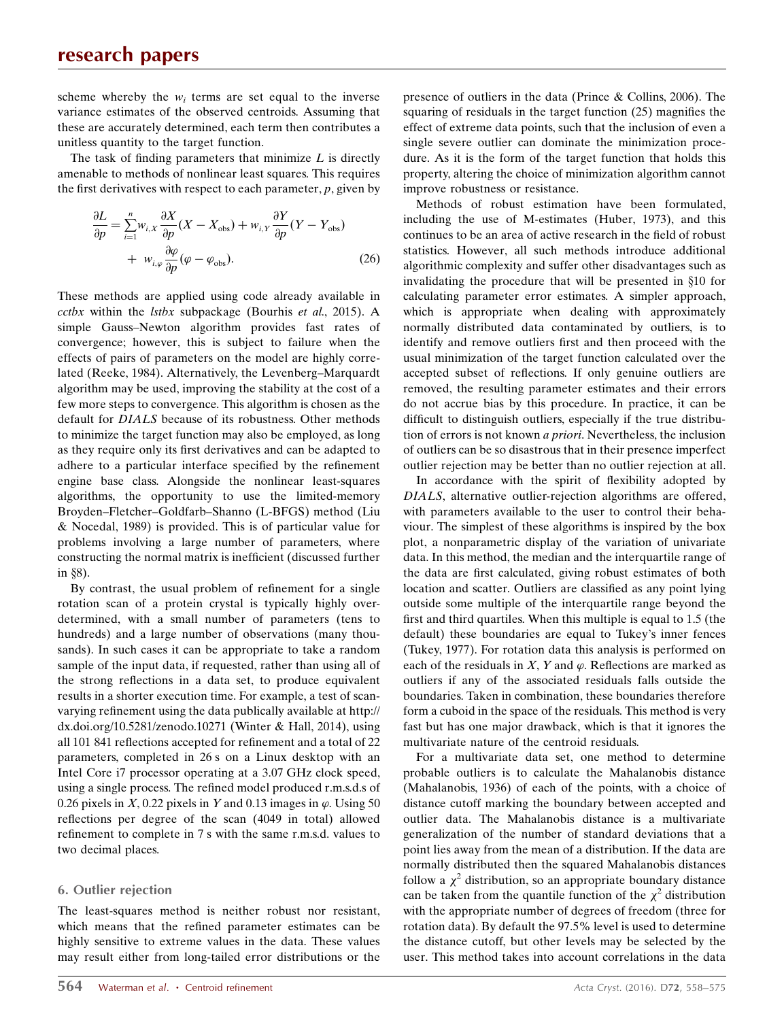scheme whereby the  $w_i$  terms are set equal to the inverse variance estimates of the observed centroids. Assuming that these are accurately determined, each term then contributes a unitless quantity to the target function.

The task of finding parameters that minimize  $L$  is directly amenable to methods of nonlinear least squares. This requires the first derivatives with respect to each parameter,  $p$ , given by

$$
\frac{\partial L}{\partial p} = \sum_{i=1}^{n} w_{i,X} \frac{\partial X}{\partial p} (X - X_{\text{obs}}) + w_{i,Y} \frac{\partial Y}{\partial p} (Y - Y_{\text{obs}}) + w_{i,\varphi} \frac{\partial \varphi}{\partial p} (\varphi - \varphi_{\text{obs}}). \tag{26}
$$

These methods are applied using code already available in cctbx within the lstbx subpackage (Bourhis et al., 2015). A simple Gauss–Newton algorithm provides fast rates of convergence; however, this is subject to failure when the effects of pairs of parameters on the model are highly correlated (Reeke, 1984). Alternatively, the Levenberg–Marquardt algorithm may be used, improving the stability at the cost of a few more steps to convergence. This algorithm is chosen as the default for DIALS because of its robustness. Other methods to minimize the target function may also be employed, as long as they require only its first derivatives and can be adapted to adhere to a particular interface specified by the refinement engine base class. Alongside the nonlinear least-squares algorithms, the opportunity to use the limited-memory Broyden–Fletcher–Goldfarb–Shanno (L-BFGS) method (Liu & Nocedal, 1989) is provided. This is of particular value for problems involving a large number of parameters, where constructing the normal matrix is inefficient (discussed further in  $§8$ ).

By contrast, the usual problem of refinement for a single rotation scan of a protein crystal is typically highly overdetermined, with a small number of parameters (tens to hundreds) and a large number of observations (many thousands). In such cases it can be appropriate to take a random sample of the input data, if requested, rather than using all of the strong reflections in a data set, to produce equivalent results in a shorter execution time. For example, a test of scanvarying refinement using the data publically available at http:// dx.doi.org/10.5281/zenodo.10271 (Winter & Hall, 2014), using all 101 841 reflections accepted for refinement and a total of 22 parameters, completed in 26 s on a Linux desktop with an Intel Core i7 processor operating at a 3.07 GHz clock speed, using a single process. The refined model produced r.m.s.d.s of 0.26 pixels in  $X$ , 0.22 pixels in Y and 0.13 images in  $\varphi$ . Using 50 reflections per degree of the scan (4049 in total) allowed refinement to complete in 7 s with the same r.m.s.d. values to two decimal places.

### 6. Outlier rejection

The least-squares method is neither robust nor resistant, which means that the refined parameter estimates can be highly sensitive to extreme values in the data. These values may result either from long-tailed error distributions or the

presence of outliers in the data (Prince & Collins, 2006). The squaring of residuals in the target function (25) magnifies the effect of extreme data points, such that the inclusion of even a single severe outlier can dominate the minimization procedure. As it is the form of the target function that holds this property, altering the choice of minimization algorithm cannot improve robustness or resistance.

Methods of robust estimation have been formulated, including the use of M-estimates (Huber, 1973), and this continues to be an area of active research in the field of robust statistics. However, all such methods introduce additional algorithmic complexity and suffer other disadvantages such as invalidating the procedure that will be presented in  $§10$  for calculating parameter error estimates. A simpler approach, which is appropriate when dealing with approximately normally distributed data contaminated by outliers, is to identify and remove outliers first and then proceed with the usual minimization of the target function calculated over the accepted subset of reflections. If only genuine outliers are removed, the resulting parameter estimates and their errors do not accrue bias by this procedure. In practice, it can be difficult to distinguish outliers, especially if the true distribution of errors is not known a priori. Nevertheless, the inclusion of outliers can be so disastrous that in their presence imperfect outlier rejection may be better than no outlier rejection at all.

In accordance with the spirit of flexibility adopted by DIALS, alternative outlier-rejection algorithms are offered, with parameters available to the user to control their behaviour. The simplest of these algorithms is inspired by the box plot, a nonparametric display of the variation of univariate data. In this method, the median and the interquartile range of the data are first calculated, giving robust estimates of both location and scatter. Outliers are classified as any point lying outside some multiple of the interquartile range beyond the first and third quartiles. When this multiple is equal to 1.5 (the default) these boundaries are equal to Tukey's inner fences (Tukey, 1977). For rotation data this analysis is performed on each of the residuals in X, Y and  $\varphi$ . Reflections are marked as outliers if any of the associated residuals falls outside the boundaries. Taken in combination, these boundaries therefore form a cuboid in the space of the residuals. This method is very fast but has one major drawback, which is that it ignores the multivariate nature of the centroid residuals.

For a multivariate data set, one method to determine probable outliers is to calculate the Mahalanobis distance (Mahalanobis, 1936) of each of the points, with a choice of distance cutoff marking the boundary between accepted and outlier data. The Mahalanobis distance is a multivariate generalization of the number of standard deviations that a point lies away from the mean of a distribution. If the data are normally distributed then the squared Mahalanobis distances follow a  $\chi^2$  distribution, so an appropriate boundary distance can be taken from the quantile function of the  $\chi^2$  distribution with the appropriate number of degrees of freedom (three for rotation data). By default the 97.5% level is used to determine the distance cutoff, but other levels may be selected by the user. This method takes into account correlations in the data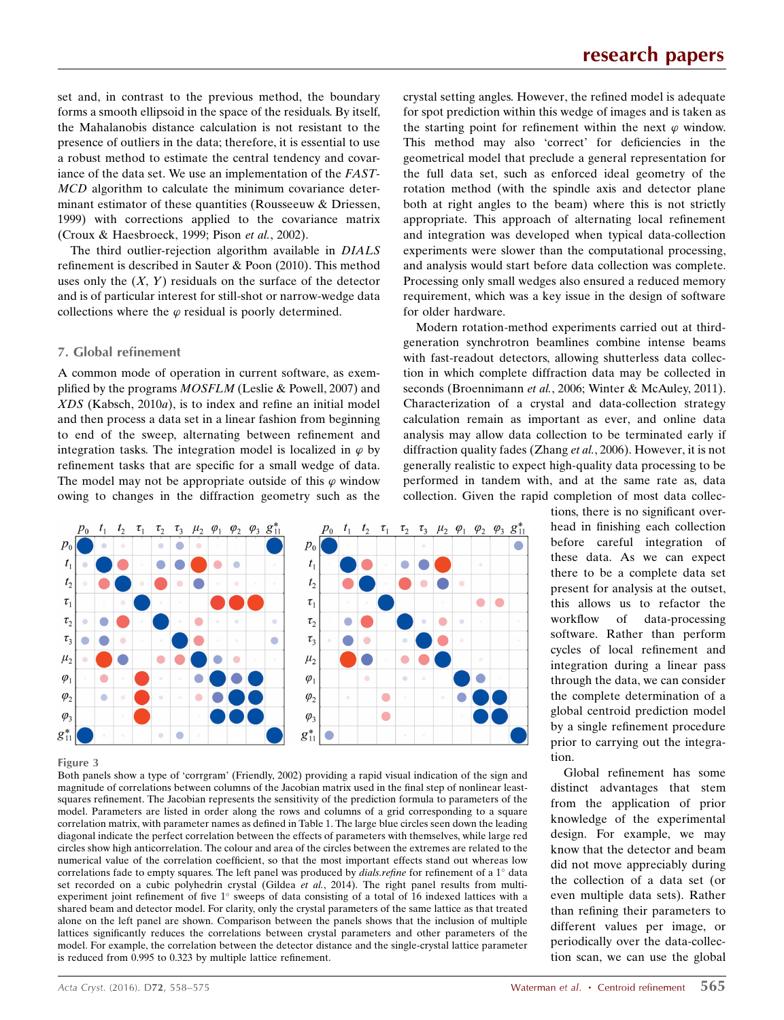set and, in contrast to the previous method, the boundary forms a smooth ellipsoid in the space of the residuals. By itself, the Mahalanobis distance calculation is not resistant to the presence of outliers in the data; therefore, it is essential to use a robust method to estimate the central tendency and covariance of the data set. We use an implementation of the FAST-MCD algorithm to calculate the minimum covariance determinant estimator of these quantities (Rousseeuw & Driessen, 1999) with corrections applied to the covariance matrix (Croux & Haesbroeck, 1999; Pison et al., 2002).

The third outlier-rejection algorithm available in DIALS refinement is described in Sauter & Poon (2010). This method uses only the  $(X, Y)$  residuals on the surface of the detector and is of particular interest for still-shot or narrow-wedge data collections where the  $\varphi$  residual is poorly determined.

### 7. Global refinement

A common mode of operation in current software, as exemplified by the programs MOSFLM (Leslie & Powell, 2007) and XDS (Kabsch, 2010a), is to index and refine an initial model and then process a data set in a linear fashion from beginning to end of the sweep, alternating between refinement and integration tasks. The integration model is localized in  $\varphi$  by refinement tasks that are specific for a small wedge of data. The model may not be appropriate outside of this  $\varphi$  window owing to changes in the diffraction geometry such as the





 $\mu_2$   $\varphi_1$ 

 $\varphi_2$   $\varphi_3$   $g_{11}^*$ 

 $\bigcap$ 

 $\tau_{1}$  $\tau_2$  $\tau_3$ 

 $p_0$ 

#### Figure 3

Both panels show a type of 'corrgram' (Friendly, 2002) providing a rapid visual indication of the sign and magnitude of correlations between columns of the Jacobian matrix used in the final step of nonlinear leastsquares refinement. The Jacobian represents the sensitivity of the prediction formula to parameters of the model. Parameters are listed in order along the rows and columns of a grid corresponding to a square correlation matrix, with parameter names as defined in Table 1. The large blue circles seen down the leading diagonal indicate the perfect correlation between the effects of parameters with themselves, while large red circles show high anticorrelation. The colour and area of the circles between the extremes are related to the numerical value of the correlation coefficient, so that the most important effects stand out whereas low correlations fade to empty squares. The left panel was produced by *dials.refine* for refinement of a  $1^\circ$  data set recorded on a cubic polyhedrin crystal (Gildea et al., 2014). The right panel results from multiexperiment joint refinement of five 1° sweeps of data consisting of a total of 16 indexed lattices with a shared beam and detector model. For clarity, only the crystal parameters of the same lattice as that treated alone on the left panel are shown. Comparison between the panels shows that the inclusion of multiple lattices significantly reduces the correlations between crystal parameters and other parameters of the model. For example, the correlation between the detector distance and the single-crystal lattice parameter is reduced from 0.995 to 0.323 by multiple lattice refinement.

crystal setting angles. However, the refined model is adequate for spot prediction within this wedge of images and is taken as the starting point for refinement within the next  $\varphi$  window. This method may also 'correct' for deficiencies in the geometrical model that preclude a general representation for the full data set, such as enforced ideal geometry of the rotation method (with the spindle axis and detector plane both at right angles to the beam) where this is not strictly appropriate. This approach of alternating local refinement and integration was developed when typical data-collection experiments were slower than the computational processing, and analysis would start before data collection was complete. Processing only small wedges also ensured a reduced memory requirement, which was a key issue in the design of software for older hardware.

Modern rotation-method experiments carried out at thirdgeneration synchrotron beamlines combine intense beams with fast-readout detectors, allowing shutterless data collection in which complete diffraction data may be collected in seconds (Broennimann et al., 2006; Winter & McAuley, 2011). Characterization of a crystal and data-collection strategy calculation remain as important as ever, and online data analysis may allow data collection to be terminated early if diffraction quality fades (Zhang et al., 2006). However, it is not generally realistic to expect high-quality data processing to be performed in tandem with, and at the same rate as, data collection. Given the rapid completion of most data collec-

> tions, there is no significant overhead in finishing each collection before careful integration of these data. As we can expect there to be a complete data set present for analysis at the outset, this allows us to refactor the workflow of data-processing software. Rather than perform cycles of local refinement and integration during a linear pass through the data, we can consider the complete determination of a global centroid prediction model by a single refinement procedure prior to carrying out the integration.

> Global refinement has some distinct advantages that stem from the application of prior knowledge of the experimental design. For example, we may know that the detector and beam did not move appreciably during the collection of a data set (or even multiple data sets). Rather than refining their parameters to different values per image, or periodically over the data-collection scan, we can use the global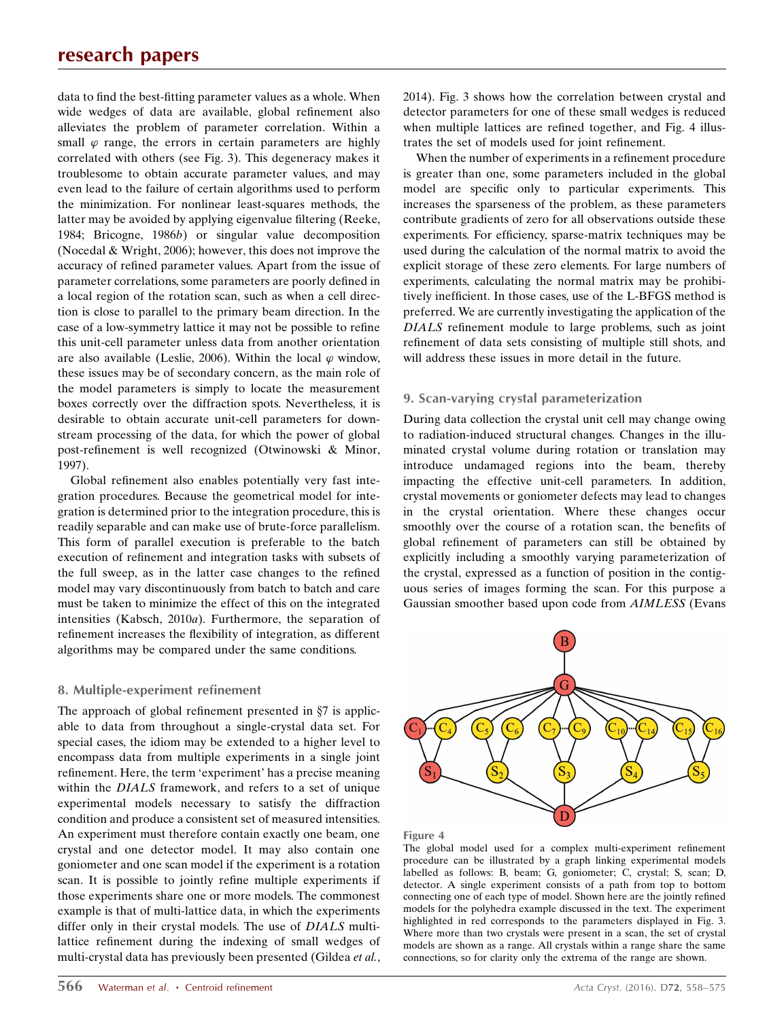data to find the best-fitting parameter values as a whole. When wide wedges of data are available, global refinement also alleviates the problem of parameter correlation. Within a small  $\varphi$  range, the errors in certain parameters are highly correlated with others (see Fig. 3). This degeneracy makes it troublesome to obtain accurate parameter values, and may even lead to the failure of certain algorithms used to perform the minimization. For nonlinear least-squares methods, the latter may be avoided by applying eigenvalue filtering (Reeke, 1984; Bricogne, 1986b) or singular value decomposition (Nocedal & Wright, 2006); however, this does not improve the accuracy of refined parameter values. Apart from the issue of parameter correlations, some parameters are poorly defined in a local region of the rotation scan, such as when a cell direction is close to parallel to the primary beam direction. In the case of a low-symmetry lattice it may not be possible to refine this unit-cell parameter unless data from another orientation are also available (Leslie, 2006). Within the local  $\varphi$  window, these issues may be of secondary concern, as the main role of the model parameters is simply to locate the measurement boxes correctly over the diffraction spots. Nevertheless, it is desirable to obtain accurate unit-cell parameters for downstream processing of the data, for which the power of global post-refinement is well recognized (Otwinowski & Minor, 1997).

Global refinement also enables potentially very fast integration procedures. Because the geometrical model for integration is determined prior to the integration procedure, this is readily separable and can make use of brute-force parallelism. This form of parallel execution is preferable to the batch execution of refinement and integration tasks with subsets of the full sweep, as in the latter case changes to the refined model may vary discontinuously from batch to batch and care must be taken to minimize the effect of this on the integrated intensities (Kabsch, 2010a). Furthermore, the separation of refinement increases the flexibility of integration, as different algorithms may be compared under the same conditions.

#### 8. Multiple-experiment refinement

The approach of global refinement presented in  $\S7$  is applicable to data from throughout a single-crystal data set. For special cases, the idiom may be extended to a higher level to encompass data from multiple experiments in a single joint refinement. Here, the term 'experiment' has a precise meaning within the DIALS framework, and refers to a set of unique experimental models necessary to satisfy the diffraction condition and produce a consistent set of measured intensities. An experiment must therefore contain exactly one beam, one crystal and one detector model. It may also contain one goniometer and one scan model if the experiment is a rotation scan. It is possible to jointly refine multiple experiments if those experiments share one or more models. The commonest example is that of multi-lattice data, in which the experiments differ only in their crystal models. The use of DIALS multilattice refinement during the indexing of small wedges of multi-crystal data has previously been presented (Gildea et al., 2014). Fig. 3 shows how the correlation between crystal and detector parameters for one of these small wedges is reduced when multiple lattices are refined together, and Fig. 4 illustrates the set of models used for joint refinement.

When the number of experiments in a refinement procedure is greater than one, some parameters included in the global model are specific only to particular experiments. This increases the sparseness of the problem, as these parameters contribute gradients of zero for all observations outside these experiments. For efficiency, sparse-matrix techniques may be used during the calculation of the normal matrix to avoid the explicit storage of these zero elements. For large numbers of experiments, calculating the normal matrix may be prohibitively inefficient. In those cases, use of the L-BFGS method is preferred. We are currently investigating the application of the DIALS refinement module to large problems, such as joint refinement of data sets consisting of multiple still shots, and will address these issues in more detail in the future.

#### 9. Scan-varying crystal parameterization

During data collection the crystal unit cell may change owing to radiation-induced structural changes. Changes in the illuminated crystal volume during rotation or translation may introduce undamaged regions into the beam, thereby impacting the effective unit-cell parameters. In addition, crystal movements or goniometer defects may lead to changes in the crystal orientation. Where these changes occur smoothly over the course of a rotation scan, the benefits of global refinement of parameters can still be obtained by explicitly including a smoothly varying parameterization of the crystal, expressed as a function of position in the contiguous series of images forming the scan. For this purpose a Gaussian smoother based upon code from AIMLESS (Evans



Figure 4

The global model used for a complex multi-experiment refinement procedure can be illustrated by a graph linking experimental models labelled as follows: B, beam; G, goniometer; C, crystal; S, scan; D, detector. A single experiment consists of a path from top to bottom connecting one of each type of model. Shown here are the jointly refined models for the polyhedra example discussed in the text. The experiment highlighted in red corresponds to the parameters displayed in Fig. 3. Where more than two crystals were present in a scan, the set of crystal models are shown as a range. All crystals within a range share the same connections, so for clarity only the extrema of the range are shown.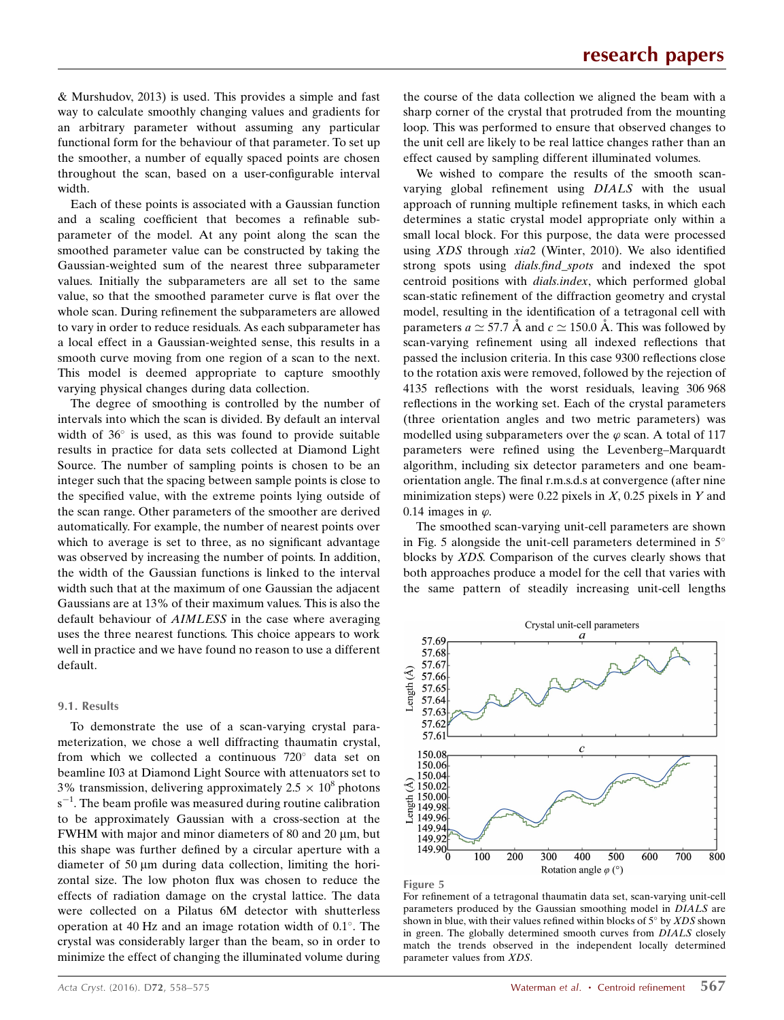& Murshudov, 2013) is used. This provides a simple and fast way to calculate smoothly changing values and gradients for an arbitrary parameter without assuming any particular functional form for the behaviour of that parameter. To set up the smoother, a number of equally spaced points are chosen throughout the scan, based on a user-configurable interval width.

Each of these points is associated with a Gaussian function and a scaling coefficient that becomes a refinable subparameter of the model. At any point along the scan the smoothed parameter value can be constructed by taking the Gaussian-weighted sum of the nearest three subparameter values. Initially the subparameters are all set to the same value, so that the smoothed parameter curve is flat over the whole scan. During refinement the subparameters are allowed to vary in order to reduce residuals. As each subparameter has a local effect in a Gaussian-weighted sense, this results in a smooth curve moving from one region of a scan to the next. This model is deemed appropriate to capture smoothly varying physical changes during data collection.

The degree of smoothing is controlled by the number of intervals into which the scan is divided. By default an interval width of  $36^\circ$  is used, as this was found to provide suitable results in practice for data sets collected at Diamond Light Source. The number of sampling points is chosen to be an integer such that the spacing between sample points is close to the specified value, with the extreme points lying outside of the scan range. Other parameters of the smoother are derived automatically. For example, the number of nearest points over which to average is set to three, as no significant advantage was observed by increasing the number of points. In addition, the width of the Gaussian functions is linked to the interval width such that at the maximum of one Gaussian the adjacent Gaussians are at 13% of their maximum values. This is also the default behaviour of AIMLESS in the case where averaging uses the three nearest functions. This choice appears to work well in practice and we have found no reason to use a different default.

#### 9.1. Results

To demonstrate the use of a scan-varying crystal parameterization, we chose a well diffracting thaumatin crystal, from which we collected a continuous  $720^\circ$  data set on beamline I03 at Diamond Light Source with attenuators set to 3% transmission, delivering approximately  $2.5 \times 10^8$  photons  $s^{-1}$ . The beam profile was measured during routine calibration to be approximately Gaussian with a cross-section at the FWHM with major and minor diameters of 80 and 20  $\mu$ m, but this shape was further defined by a circular aperture with a diameter of 50  $\mu$ m during data collection, limiting the horizontal size. The low photon flux was chosen to reduce the effects of radiation damage on the crystal lattice. The data were collected on a Pilatus 6M detector with shutterless operation at 40 Hz and an image rotation width of  $0.1^{\circ}$ . The crystal was considerably larger than the beam, so in order to minimize the effect of changing the illuminated volume during the course of the data collection we aligned the beam with a sharp corner of the crystal that protruded from the mounting loop. This was performed to ensure that observed changes to the unit cell are likely to be real lattice changes rather than an effect caused by sampling different illuminated volumes.

We wished to compare the results of the smooth scanvarying global refinement using DIALS with the usual approach of running multiple refinement tasks, in which each determines a static crystal model appropriate only within a small local block. For this purpose, the data were processed using XDS through xia2 (Winter, 2010). We also identified strong spots using dials.find\_spots and indexed the spot centroid positions with dials.index, which performed global scan-static refinement of the diffraction geometry and crystal model, resulting in the identification of a tetragonal cell with parameters  $a \approx 57.7$  Å and  $c \approx 150.0$  Å. This was followed by scan-varying refinement using all indexed reflections that passed the inclusion criteria. In this case 9300 reflections close to the rotation axis were removed, followed by the rejection of 4135 reflections with the worst residuals, leaving 306 968 reflections in the working set. Each of the crystal parameters (three orientation angles and two metric parameters) was modelled using subparameters over the  $\varphi$  scan. A total of 117 parameters were refined using the Levenberg–Marquardt algorithm, including six detector parameters and one beamorientation angle. The final r.m.s.d.s at convergence (after nine minimization steps) were 0.22 pixels in  $X$ , 0.25 pixels in  $Y$  and 0.14 images in  $\varphi$ .

The smoothed scan-varying unit-cell parameters are shown in Fig. 5 alongside the unit-cell parameters determined in  $5^\circ$ blocks by XDS. Comparison of the curves clearly shows that both approaches produce a model for the cell that varies with the same pattern of steadily increasing unit-cell lengths



Figure 5

For refinement of a tetragonal thaumatin data set, scan-varying unit-cell parameters produced by the Gaussian smoothing model in DIALS are shown in blue, with their values refined within blocks of  $5^{\circ}$  by XDS shown in green. The globally determined smooth curves from DIALS closely match the trends observed in the independent locally determined parameter values from XDS.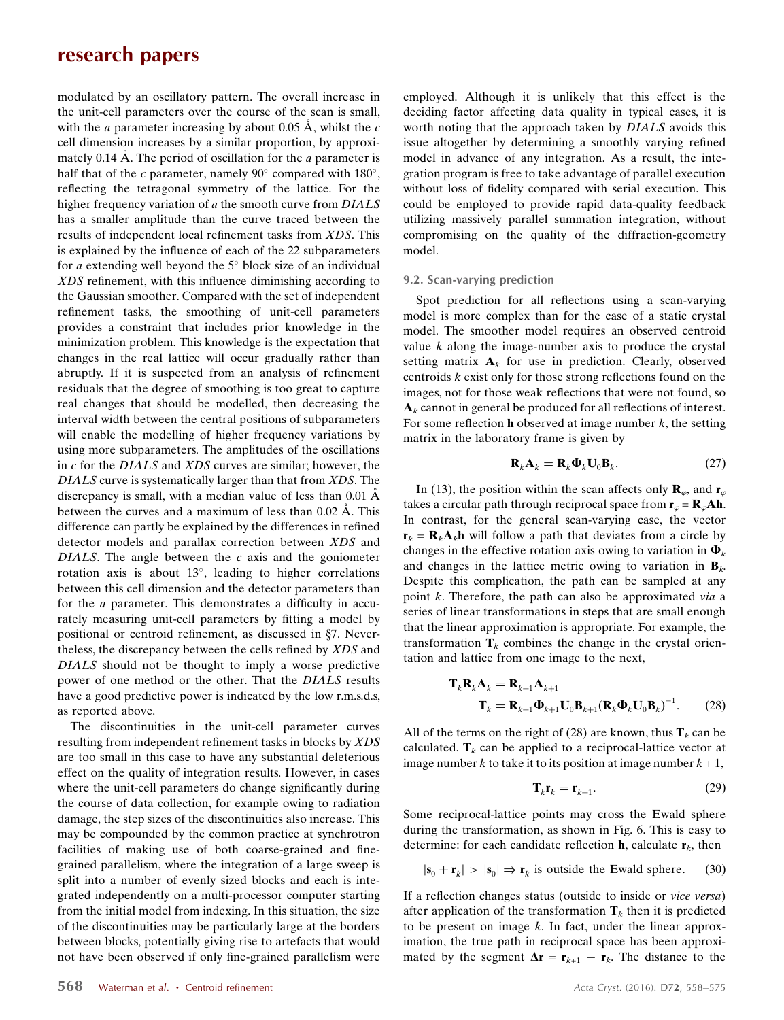modulated by an oscillatory pattern. The overall increase in the unit-cell parameters over the course of the scan is small, with the *a* parameter increasing by about 0.05  $\AA$ , whilst the *c* cell dimension increases by a similar proportion, by approximately 0.14 Å. The period of oscillation for the *a* parameter is half that of the c parameter, namely 90 $^{\circ}$  compared with 180 $^{\circ}$ , reflecting the tetragonal symmetry of the lattice. For the higher frequency variation of a the smooth curve from  $DIALS$ has a smaller amplitude than the curve traced between the results of independent local refinement tasks from XDS. This is explained by the influence of each of the 22 subparameters for a extending well beyond the  $5^{\circ}$  block size of an individual XDS refinement, with this influence diminishing according to the Gaussian smoother. Compared with the set of independent refinement tasks, the smoothing of unit-cell parameters provides a constraint that includes prior knowledge in the minimization problem. This knowledge is the expectation that changes in the real lattice will occur gradually rather than abruptly. If it is suspected from an analysis of refinement residuals that the degree of smoothing is too great to capture real changes that should be modelled, then decreasing the interval width between the central positions of subparameters will enable the modelling of higher frequency variations by using more subparameters. The amplitudes of the oscillations in c for the DIALS and XDS curves are similar; however, the DIALS curve is systematically larger than that from XDS. The discrepancy is small, with a median value of less than  $0.01 \text{ Å}$ between the curves and a maximum of less than  $0.02 \text{ Å}$ . This difference can partly be explained by the differences in refined detector models and parallax correction between XDS and DIALS. The angle between the  $c$  axis and the goniometer rotation axis is about  $13^{\circ}$ , leading to higher correlations between this cell dimension and the detector parameters than for the a parameter. This demonstrates a difficulty in accurately measuring unit-cell parameters by fitting a model by positional or centroid refinement, as discussed in  $\S$ 7. Nevertheless, the discrepancy between the cells refined by XDS and DIALS should not be thought to imply a worse predictive power of one method or the other. That the DIALS results have a good predictive power is indicated by the low r.m.s.d.s, as reported above.

The discontinuities in the unit-cell parameter curves resulting from independent refinement tasks in blocks by XDS are too small in this case to have any substantial deleterious effect on the quality of integration results. However, in cases where the unit-cell parameters do change significantly during the course of data collection, for example owing to radiation damage, the step sizes of the discontinuities also increase. This may be compounded by the common practice at synchrotron facilities of making use of both coarse-grained and finegrained parallelism, where the integration of a large sweep is split into a number of evenly sized blocks and each is integrated independently on a multi-processor computer starting from the initial model from indexing. In this situation, the size of the discontinuities may be particularly large at the borders between blocks, potentially giving rise to artefacts that would not have been observed if only fine-grained parallelism were

employed. Although it is unlikely that this effect is the deciding factor affecting data quality in typical cases, it is worth noting that the approach taken by DIALS avoids this issue altogether by determining a smoothly varying refined model in advance of any integration. As a result, the integration program is free to take advantage of parallel execution without loss of fidelity compared with serial execution. This could be employed to provide rapid data-quality feedback utilizing massively parallel summation integration, without compromising on the quality of the diffraction-geometry model.

#### 9.2. Scan-varying prediction

Spot prediction for all reflections using a scan-varying model is more complex than for the case of a static crystal model. The smoother model requires an observed centroid value  $k$  along the image-number axis to produce the crystal setting matrix  $A_k$  for use in prediction. Clearly, observed centroids  $k$  exist only for those strong reflections found on the images, not for those weak reflections that were not found, so  $A_k$  cannot in general be produced for all reflections of interest. For some reflection **h** observed at image number  $k$ , the setting matrix in the laboratory frame is given by

$$
\mathbf{R}_k \mathbf{A}_k = \mathbf{R}_k \mathbf{\Phi}_k \mathbf{U}_0 \mathbf{B}_k. \tag{27}
$$

In (13), the position within the scan affects only  $\mathbf{R}_{\varphi}$ , and  $\mathbf{r}_{\varphi}$ takes a circular path through reciprocal space from  $\mathbf{r}_{\varphi} = \mathbf{R}_{\varphi} \mathbf{A} \mathbf{h}$ . In contrast, for the general scan-varying case, the vector  $\mathbf{r}_k = \mathbf{R}_k \mathbf{A}_k \mathbf{h}$  will follow a path that deviates from a circle by changes in the effective rotation axis owing to variation in  $\Phi_k$ and changes in the lattice metric owing to variation in  $\mathbf{B}_k$ . Despite this complication, the path can be sampled at any point k. Therefore, the path can also be approximated via a series of linear transformations in steps that are small enough that the linear approximation is appropriate. For example, the transformation  $\mathbf{T}_k$  combines the change in the crystal orientation and lattice from one image to the next,

$$
\mathbf{T}_{k} \mathbf{R}_{k} \mathbf{A}_{k} = \mathbf{R}_{k+1} \mathbf{A}_{k+1}
$$

$$
\mathbf{T}_{k} = \mathbf{R}_{k+1} \mathbf{\Phi}_{k+1} \mathbf{U}_{0} \mathbf{B}_{k+1} (\mathbf{R}_{k} \mathbf{\Phi}_{k} \mathbf{U}_{0} \mathbf{B}_{k})^{-1}.
$$
(28)

All of the terms on the right of (28) are known, thus  $\mathbf{T}_k$  can be calculated.  $\mathbf{T}_k$  can be applied to a reciprocal-lattice vector at image number k to take it to its position at image number  $k + 1$ ,

$$
\mathbf{T}_k \mathbf{r}_k = \mathbf{r}_{k+1}.\tag{29}
$$

Some reciprocal-lattice points may cross the Ewald sphere during the transformation, as shown in Fig. 6. This is easy to determine: for each candidate reflection **h**, calculate  $\mathbf{r}_k$ , then

$$
|\mathbf{s}_0 + \mathbf{r}_k| > |\mathbf{s}_0| \Rightarrow \mathbf{r}_k \text{ is outside the Ewald sphere.} \tag{30}
$$

If a reflection changes status (outside to inside or vice versa) after application of the transformation  $T_k$  then it is predicted to be present on image  $k$ . In fact, under the linear approximation, the true path in reciprocal space has been approximated by the segment  $\Delta \mathbf{r} = \mathbf{r}_{k+1} - \mathbf{r}_k$ . The distance to the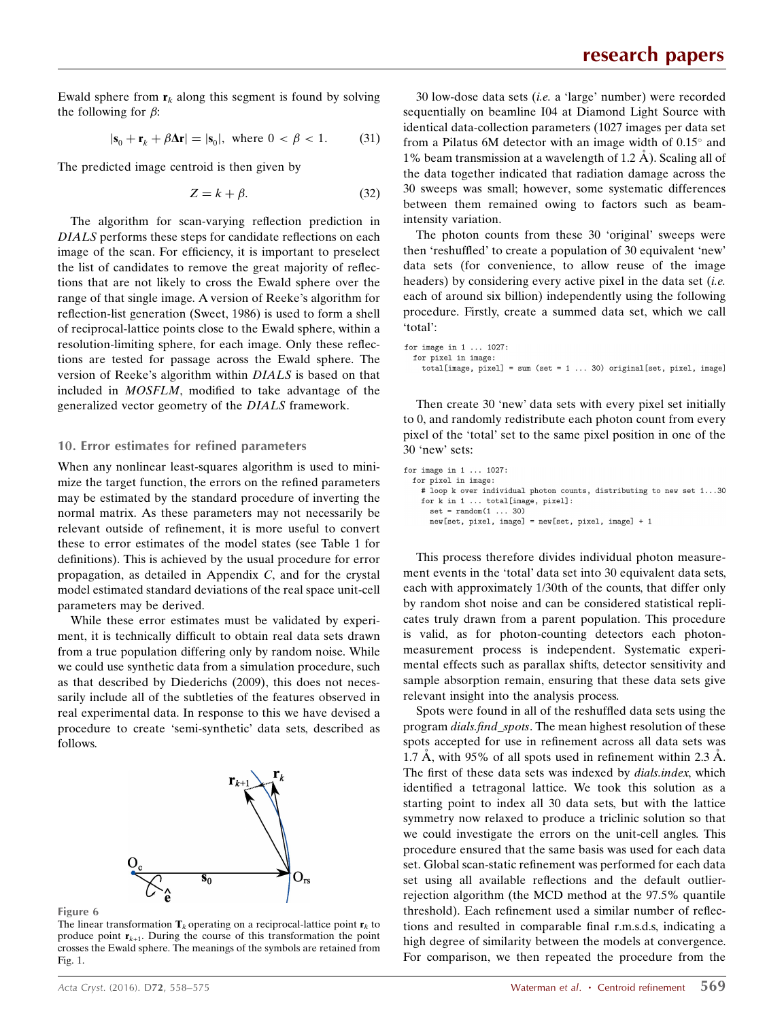Ewald sphere from  $r_k$  along this segment is found by solving the following for  $\beta$ :

$$
|\mathbf{s}_0 + \mathbf{r}_k + \beta \Delta \mathbf{r}| = |\mathbf{s}_0|, \text{ where } 0 < \beta < 1. \tag{31}
$$

The predicted image centroid is then given by

$$
Z = k + \beta. \tag{32}
$$

The algorithm for scan-varying reflection prediction in DIALS performs these steps for candidate reflections on each image of the scan. For efficiency, it is important to preselect the list of candidates to remove the great majority of reflections that are not likely to cross the Ewald sphere over the range of that single image. A version of Reeke's algorithm for reflection-list generation (Sweet, 1986) is used to form a shell of reciprocal-lattice points close to the Ewald sphere, within a resolution-limiting sphere, for each image. Only these reflections are tested for passage across the Ewald sphere. The version of Reeke's algorithm within DIALS is based on that included in MOSFLM, modified to take advantage of the generalized vector geometry of the DIALS framework.

## 10. Error estimates for refined parameters

When any nonlinear least-squares algorithm is used to minimize the target function, the errors on the refined parameters may be estimated by the standard procedure of inverting the normal matrix. As these parameters may not necessarily be relevant outside of refinement, it is more useful to convert these to error estimates of the model states (see Table 1 for definitions). This is achieved by the usual procedure for error propagation, as detailed in Appendix C, and for the crystal model estimated standard deviations of the real space unit-cell parameters may be derived.

While these error estimates must be validated by experiment, it is technically difficult to obtain real data sets drawn from a true population differing only by random noise. While we could use synthetic data from a simulation procedure, such as that described by Diederichs (2009), this does not necessarily include all of the subtleties of the features observed in real experimental data. In response to this we have devised a procedure to create 'semi-synthetic' data sets, described as follows.



Figure 6

The linear transformation  $\mathbf{T}_k$  operating on a reciprocal-lattice point  $\mathbf{r}_k$  to produce point  $r_{k+1}$ . During the course of this transformation the point crosses the Ewald sphere. The meanings of the symbols are retained from Fig. 1.

30 low-dose data sets (i.e. a 'large' number) were recorded sequentially on beamline I04 at Diamond Light Source with identical data-collection parameters (1027 images per data set from a Pilatus 6M detector with an image width of  $0.15^{\circ}$  and 1% beam transmission at a wavelength of 1.2  $\AA$ ). Scaling all of the data together indicated that radiation damage across the 30 sweeps was small; however, some systematic differences between them remained owing to factors such as beamintensity variation.

The photon counts from these 30 'original' sweeps were then 'reshuffled' to create a population of 30 equivalent 'new' data sets (for convenience, to allow reuse of the image headers) by considering every active pixel in the data set  $(i.e.$ each of around six billion) independently using the following procedure. Firstly, create a summed data set, which we call 'total':

| for image in $1 \ldots 1027$ : |  |  |  |  |                                                                              |  |
|--------------------------------|--|--|--|--|------------------------------------------------------------------------------|--|
| for pixel in image:            |  |  |  |  |                                                                              |  |
|                                |  |  |  |  | total[image, pixel] = sum (set = $1 \ldots 30$ ) original[set, pixel, image] |  |

Then create 30 'new' data sets with every pixel set initially to 0, and randomly redistribute each photon count from every pixel of the 'total' set to the same pixel position in one of the 30 'new' sets:

```
for image in 1 \ldots 1027:
  for pixel in image:
    # loop k over individual photon counts, distributing to new set 1...30
    for k in 1 \ldots total [image, pixel]:
      set = random(1 ... 30)new[set, pixel, image] = new[set, pixel, image] + 1
```
This process therefore divides individual photon measurement events in the 'total' data set into 30 equivalent data sets, each with approximately 1/30th of the counts, that differ only by random shot noise and can be considered statistical replicates truly drawn from a parent population. This procedure is valid, as for photon-counting detectors each photonmeasurement process is independent. Systematic experimental effects such as parallax shifts, detector sensitivity and sample absorption remain, ensuring that these data sets give relevant insight into the analysis process.

Spots were found in all of the reshuffled data sets using the program dials.find\_spots. The mean highest resolution of these spots accepted for use in refinement across all data sets was 1.7 Å, with 95% of all spots used in refinement within 2.3 Å. The first of these data sets was indexed by *dials.index*, which identified a tetragonal lattice. We took this solution as a starting point to index all 30 data sets, but with the lattice symmetry now relaxed to produce a triclinic solution so that we could investigate the errors on the unit-cell angles. This procedure ensured that the same basis was used for each data set. Global scan-static refinement was performed for each data set using all available reflections and the default outlierrejection algorithm (the MCD method at the 97.5% quantile threshold). Each refinement used a similar number of reflections and resulted in comparable final r.m.s.d.s, indicating a high degree of similarity between the models at convergence. For comparison, we then repeated the procedure from the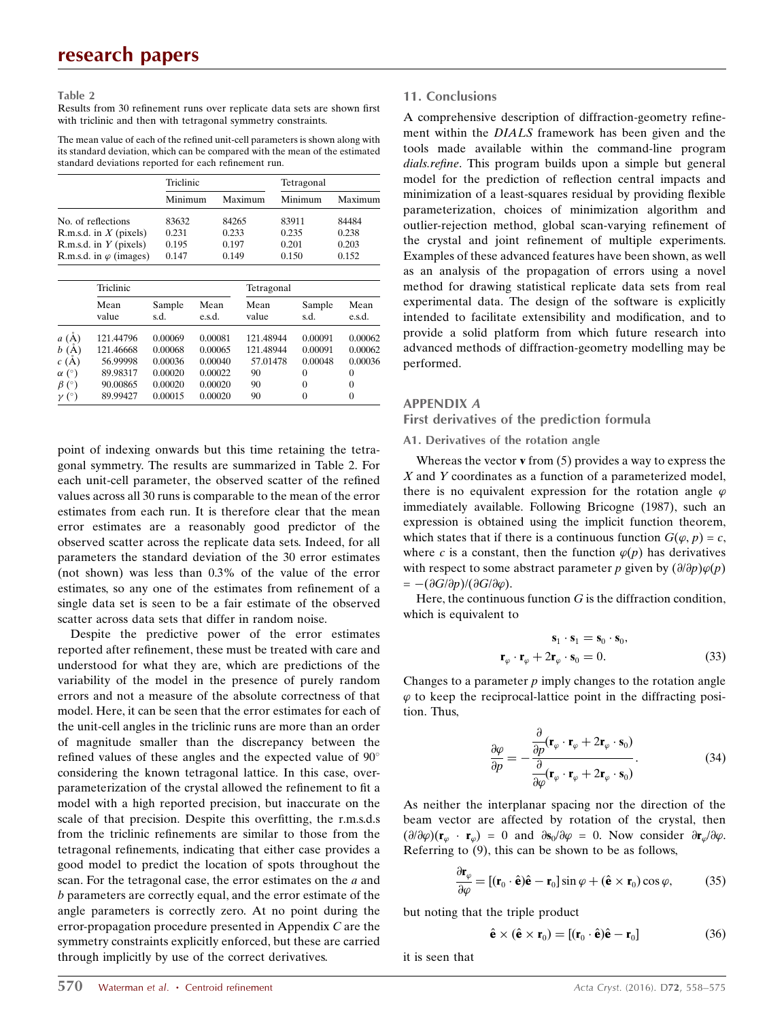Table 2

Results from 30 refinement runs over replicate data sets are shown first with triclinic and then with tetragonal symmetry constraints.

The mean value of each of the refined unit-cell parameters is shown along with its standard deviation, which can be compared with the mean of the estimated standard deviations reported for each refinement run.

|                                | Triclinic |         | Tetragonal |         |
|--------------------------------|-----------|---------|------------|---------|
|                                | Minimum   | Maximum | Minimum    | Maximum |
| No. of reflections             | 83632     | 84265   | 83911      | 84484   |
| R.m.s.d. in $X$ (pixels)       | 0.231     | 0.233   | 0.235      | 0.238   |
| R.m.s.d. in $Y$ (pixels)       | 0.195     | 0.197   | 0.201      | 0.203   |
| R.m.s.d. in $\varphi$ (images) | 0.147     | 0.149   | 0.150      | 0.152   |

|              | Triclinic     |                |                | Tetragonal    |                |                |  |
|--------------|---------------|----------------|----------------|---------------|----------------|----------------|--|
|              | Mean<br>value | Sample<br>s.d. | Mean<br>e.s.d. | Mean<br>value | Sample<br>s.d. | Mean<br>e.s.d. |  |
| a(A)         | 121.44796     | 0.00069        | 0.00081        | 121.48944     | 0.00091        | 0.00062        |  |
| b(A)         | 121.46668     | 0.00068        | 0.00065        | 121.48944     | 0.00091        | 0.00062        |  |
| c(A)         | 56.99998      | 0.00036        | 0.00040        | 57.01478      | 0.00048        | 0.00036        |  |
| $\alpha$ (°) | 89.98317      | 0.00020        | 0.00022        | 90            | 0              | $\Omega$       |  |
| $\beta$ (°)  | 90.00865      | 0.00020        | 0.00020        | 90            | $\Omega$       | $\theta$       |  |
| $\nu$ (°)    | 89.99427      | 0.00015        | 0.00020        | 90            | $\theta$       | $\theta$       |  |

point of indexing onwards but this time retaining the tetragonal symmetry. The results are summarized in Table 2. For each unit-cell parameter, the observed scatter of the refined values across all 30 runs is comparable to the mean of the error estimates from each run. It is therefore clear that the mean error estimates are a reasonably good predictor of the observed scatter across the replicate data sets. Indeed, for all parameters the standard deviation of the 30 error estimates (not shown) was less than 0.3% of the value of the error estimates, so any one of the estimates from refinement of a single data set is seen to be a fair estimate of the observed scatter across data sets that differ in random noise.

Despite the predictive power of the error estimates reported after refinement, these must be treated with care and understood for what they are, which are predictions of the variability of the model in the presence of purely random errors and not a measure of the absolute correctness of that model. Here, it can be seen that the error estimates for each of the unit-cell angles in the triclinic runs are more than an order of magnitude smaller than the discrepancy between the refined values of these angles and the expected value of 90 considering the known tetragonal lattice. In this case, overparameterization of the crystal allowed the refinement to fit a model with a high reported precision, but inaccurate on the scale of that precision. Despite this overfitting, the r.m.s.d.s from the triclinic refinements are similar to those from the tetragonal refinements, indicating that either case provides a good model to predict the location of spots throughout the scan. For the tetragonal case, the error estimates on the a and b parameters are correctly equal, and the error estimate of the angle parameters is correctly zero. At no point during the error-propagation procedure presented in Appendix C are the symmetry constraints explicitly enforced, but these are carried through implicitly by use of the correct derivatives.

#### 11. Conclusions

A comprehensive description of diffraction-geometry refinement within the DIALS framework has been given and the tools made available within the command-line program dials.refine. This program builds upon a simple but general model for the prediction of reflection central impacts and minimization of a least-squares residual by providing flexible parameterization, choices of minimization algorithm and outlier-rejection method, global scan-varying refinement of the crystal and joint refinement of multiple experiments. Examples of these advanced features have been shown, as well as an analysis of the propagation of errors using a novel method for drawing statistical replicate data sets from real experimental data. The design of the software is explicitly intended to facilitate extensibility and modification, and to provide a solid platform from which future research into advanced methods of diffraction-geometry modelling may be performed.

#### APPENDIX A

First derivatives of the prediction formula

### A1. Derivatives of the rotation angle

Whereas the vector  $\bf{v}$  from (5) provides a way to express the  $X$  and  $Y$  coordinates as a function of a parameterized model, there is no equivalent expression for the rotation angle  $\varphi$ immediately available. Following Bricogne (1987), such an expression is obtained using the implicit function theorem, which states that if there is a continuous function  $G(\varphi, p) = c$ , where c is a constant, then the function  $\varphi(p)$  has derivatives with respect to some abstract parameter p given by  $(\partial/\partial p)\varphi(p)$  $= -(\partial G/\partial p)/(\partial G/\partial \varphi).$ 

Here, the continuous function  $G$  is the diffraction condition, which is equivalent to

$$
\mathbf{s}_1 \cdot \mathbf{s}_1 = \mathbf{s}_0 \cdot \mathbf{s}_0, \n\mathbf{r}_{\varphi} \cdot \mathbf{r}_{\varphi} + 2\mathbf{r}_{\varphi} \cdot \mathbf{s}_0 = 0.
$$
\n(33)

Changes to a parameter  $p$  imply changes to the rotation angle  $\varphi$  to keep the reciprocal-lattice point in the diffracting position. Thus,

$$
\frac{\partial \varphi}{\partial p} = -\frac{\frac{\partial}{\partial p}(\mathbf{r}_{\varphi} \cdot \mathbf{r}_{\varphi} + 2\mathbf{r}_{\varphi} \cdot \mathbf{s}_{0})}{\frac{\partial}{\partial \varphi}(\mathbf{r}_{\varphi} \cdot \mathbf{r}_{\varphi} + 2\mathbf{r}_{\varphi} \cdot \mathbf{s}_{0})}.
$$
(34)

As neither the interplanar spacing nor the direction of the beam vector are affected by rotation of the crystal, then  $(\partial/\partial\varphi)(\mathbf{r}_{\varphi} \cdot \mathbf{r}_{\varphi}) = 0$  and  $\partial \mathbf{s}_0/\partial \varphi = 0$ . Now consider  $\partial \mathbf{r}_{\varphi}/\partial \varphi$ . Referring to (9), this can be shown to be as follows,

$$
\frac{\partial \mathbf{r}_{\varphi}}{\partial \varphi} = [(\mathbf{r}_0 \cdot \hat{\mathbf{e}}) \hat{\mathbf{e}} - \mathbf{r}_0] \sin \varphi + (\hat{\mathbf{e}} \times \mathbf{r}_0) \cos \varphi, \tag{35}
$$

but noting that the triple product

$$
\hat{\mathbf{e}} \times (\hat{\mathbf{e}} \times \mathbf{r}_0) = [(\mathbf{r}_0 \cdot \hat{\mathbf{e}})\hat{\mathbf{e}} - \mathbf{r}_0]
$$
 (36)

it is seen that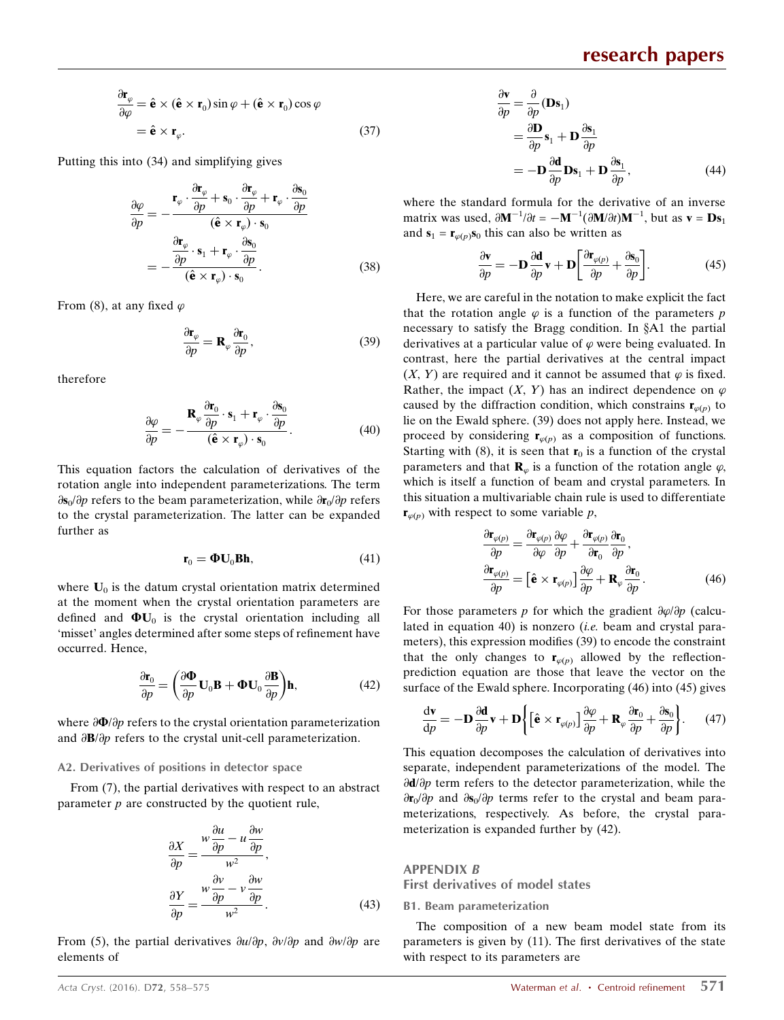$$
\frac{\partial \mathbf{r}_{\varphi}}{\partial \varphi} = \hat{\mathbf{e}} \times (\hat{\mathbf{e}} \times \mathbf{r}_0) \sin \varphi + (\hat{\mathbf{e}} \times \mathbf{r}_0) \cos \varphi \n= \hat{\mathbf{e}} \times \mathbf{r}_{\varphi}.
$$
\n(37)

Putting this into (34) and simplifying gives

$$
\frac{\partial \varphi}{\partial p} = -\frac{\mathbf{r}_{\varphi} \cdot \frac{\partial \mathbf{r}_{\varphi}}{\partial p} + \mathbf{s}_{0} \cdot \frac{\partial \mathbf{r}_{\varphi}}{\partial p} + \mathbf{r}_{\varphi} \cdot \frac{\partial \mathbf{s}_{0}}{\partial p}}{(\hat{\mathbf{e}} \times \mathbf{r}_{\varphi}) \cdot \mathbf{s}_{0}} \n= -\frac{\frac{\partial \mathbf{r}_{\varphi}}{\partial p} \cdot \mathbf{s}_{1} + \mathbf{r}_{\varphi} \cdot \frac{\partial \mathbf{s}_{0}}{\partial p}}{(\hat{\mathbf{e}} \times \mathbf{r}_{\varphi}) \cdot \mathbf{s}_{0}}.
$$
\n(38)

From (8), at any fixed  $\varphi$ 

$$
\frac{\partial \mathbf{r}_{\varphi}}{\partial p} = \mathbf{R}_{\varphi} \frac{\partial \mathbf{r}_{0}}{\partial p},\tag{39}
$$

therefore

$$
\frac{\partial \varphi}{\partial p} = -\frac{\mathbf{R}_{\varphi} \frac{\partial \mathbf{r}_0}{\partial p} \cdot \mathbf{s}_1 + \mathbf{r}_{\varphi} \cdot \frac{\partial \mathbf{s}_0}{\partial p}}{(\hat{\mathbf{e}} \times \mathbf{r}_{\varphi}) \cdot \mathbf{s}_0}.
$$
(40)

This equation factors the calculation of derivatives of the rotation angle into independent parameterizations. The term  $\partial s_0/\partial p$  refers to the beam parameterization, while  $\partial r_0/\partial p$  refers to the crystal parameterization. The latter can be expanded further as

$$
\mathbf{r}_0 = \mathbf{\Phi} \mathbf{U}_0 \mathbf{B} \mathbf{h},\tag{41}
$$

where  $U_0$  is the datum crystal orientation matrix determined at the moment when the crystal orientation parameters are defined and  $\Phi U_0$  is the crystal orientation including all 'misset' angles determined after some steps of refinement have occurred. Hence,

$$
\frac{\partial \mathbf{r}_0}{\partial p} = \left(\frac{\partial \mathbf{\Phi}}{\partial p} \mathbf{U}_0 \mathbf{B} + \mathbf{\Phi} \mathbf{U}_0 \frac{\partial \mathbf{B}}{\partial p}\right) \mathbf{h},\tag{42}
$$

where  $\frac{\partial \Phi}{\partial p}$  refers to the crystal orientation parameterization and  $\partial \mathbf{B}/\partial p$  refers to the crystal unit-cell parameterization.

#### A2. Derivatives of positions in detector space

From (7), the partial derivatives with respect to an abstract parameter  $p$  are constructed by the quotient rule,

$$
\frac{\partial X}{\partial p} = \frac{w \frac{\partial u}{\partial p} - u \frac{\partial w}{\partial p}}{w^2},
$$
  

$$
\frac{\partial Y}{\partial p} = \frac{w \frac{\partial v}{\partial p} - v \frac{\partial w}{\partial p}}{w^2}.
$$
 (43)

From (5), the partial derivatives  $\partial u/\partial p$ ,  $\partial v/\partial p$  and  $\partial w/\partial p$  are elements of

$$
\frac{\partial \mathbf{v}}{\partial p} = \frac{\partial}{\partial p} (\mathbf{D} \mathbf{s}_1)
$$
  
=  $\frac{\partial \mathbf{D}}{\partial p} \mathbf{s}_1 + \mathbf{D} \frac{\partial \mathbf{s}_1}{\partial p}$   
=  $-\mathbf{D} \frac{\partial \mathbf{d}}{\partial p} \mathbf{D} \mathbf{s}_1 + \mathbf{D} \frac{\partial \mathbf{s}_1}{\partial p}$ , (44)

where the standard formula for the derivative of an inverse matrix was used,  $\partial \mathbf{M}^{-1}/\partial t = -\mathbf{M}^{-1}(\partial \mathbf{M}/\partial t)\mathbf{M}^{-1}$ , but as  $\mathbf{v} = \mathbf{D}\mathbf{s}_1$ and  $s_1 = r_{\varphi(n)} s_0$  this can also be written as

$$
\frac{\partial \mathbf{v}}{\partial p} = -\mathbf{D} \frac{\partial \mathbf{d}}{\partial p} \mathbf{v} + \mathbf{D} \left[ \frac{\partial \mathbf{r}_{\varphi(p)}}{\partial p} + \frac{\partial \mathbf{s}_0}{\partial p} \right].
$$
 (45)

Here, we are careful in the notation to make explicit the fact that the rotation angle  $\varphi$  is a function of the parameters p necessary to satisfy the Bragg condition. In  $§A1$  the partial derivatives at a particular value of  $\varphi$  were being evaluated. In contrast, here the partial derivatives at the central impact  $(X, Y)$  are required and it cannot be assumed that  $\varphi$  is fixed. Rather, the impact  $(X, Y)$  has an indirect dependence on  $\varphi$ caused by the diffraction condition, which constrains  $\mathbf{r}_{\varphi(p)}$  to lie on the Ewald sphere. (39) does not apply here. Instead, we proceed by considering  $\mathbf{r}_{\varphi(p)}$  as a composition of functions. Starting with (8), it is seen that  $\mathbf{r}_0$  is a function of the crystal parameters and that  $\mathbf{R}_{\varphi}$  is a function of the rotation angle  $\varphi$ , which is itself a function of beam and crystal parameters. In this situation a multivariable chain rule is used to differentiate  $\mathbf{r}_{\varphi(p)}$  with respect to some variable p,

$$
\frac{\partial \mathbf{r}_{\varphi(p)}}{\partial p} = \frac{\partial \mathbf{r}_{\varphi(p)}}{\partial \varphi} \frac{\partial \varphi}{\partial p} + \frac{\partial \mathbf{r}_{\varphi(p)}}{\partial \mathbf{r}_0} \frac{\partial \mathbf{r}_0}{\partial p},
$$
\n
$$
\frac{\partial \mathbf{r}_{\varphi(p)}}{\partial p} = \left[ \hat{\mathbf{e}} \times \mathbf{r}_{\varphi(p)} \right] \frac{\partial \varphi}{\partial p} + \mathbf{R}_{\varphi} \frac{\partial \mathbf{r}_0}{\partial p}.
$$
\n(46)

For those parameters p for which the gradient  $\frac{\partial \varphi}{\partial p}$  (calculated in equation 40) is nonzero (i.e. beam and crystal parameters), this expression modifies (39) to encode the constraint that the only changes to  $\mathbf{r}_{\varphi(p)}$  allowed by the reflectionprediction equation are those that leave the vector on the surface of the Ewald sphere. Incorporating (46) into (45) gives

$$
\frac{\mathrm{d}\mathbf{v}}{\mathrm{d}p} = -\mathbf{D}\frac{\partial\mathbf{d}}{\partial p}\mathbf{v} + \mathbf{D}\left\{ \left[\hat{\mathbf{e}} \times \mathbf{r}_{\varphi(p)}\right] \frac{\partial\varphi}{\partial p} + \mathbf{R}_{\varphi} \frac{\partial\mathbf{r}_{0}}{\partial p} + \frac{\partial\mathbf{s}_{0}}{\partial p} \right\}.
$$
 (47)

This equation decomposes the calculation of derivatives into separate, independent parameterizations of the model. The  $\partial d/\partial p$  term refers to the detector parameterization, while the  $\frac{\partial \mathbf{r}_0}{\partial p}$  and  $\frac{\partial \mathbf{s}_0}{\partial p}$  terms refer to the crystal and beam parameterizations, respectively. As before, the crystal parameterization is expanded further by (42).

APPENDIX B

First derivatives of model states

#### B1. Beam parameterization

The composition of a new beam model state from its parameters is given by (11). The first derivatives of the state with respect to its parameters are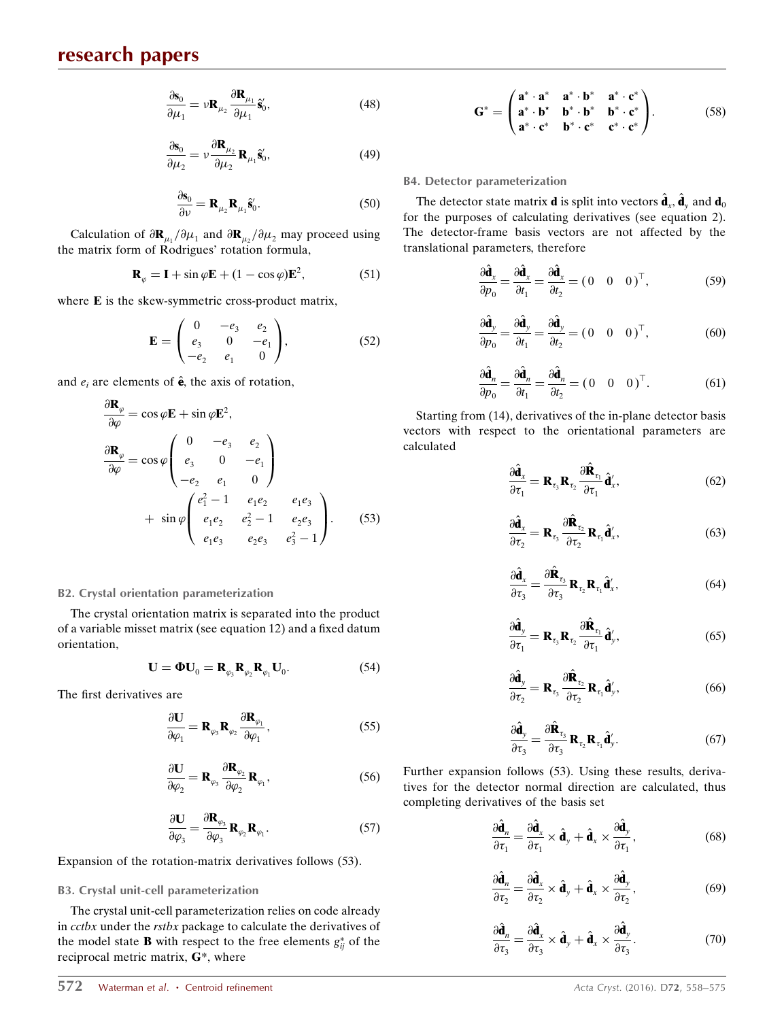$$
\frac{\partial \mathbf{s}_0}{\partial \mu_1} = \nu \mathbf{R}_{\mu_2} \frac{\partial \mathbf{R}_{\mu_1}}{\partial \mu_1} \hat{\mathbf{s}}_0',\tag{48}
$$

$$
\frac{\partial \mathbf{s}_0}{\partial \mu_2} = \nu \frac{\partial \mathbf{R}_{\mu_2}}{\partial \mu_2} \mathbf{R}_{\mu_1} \hat{\mathbf{s}}_0',\tag{49}
$$

$$
\frac{\partial \mathbf{s}_0}{\partial \nu} = \mathbf{R}_{\mu_2} \mathbf{R}_{\mu_1} \hat{\mathbf{s}}'_0.
$$
 (50)

Calculation of  $\partial \mathbf{R}_{\mu_1}/\partial \mu_1$  and  $\partial \mathbf{R}_{\mu_2}/\partial \mu_2$  may proceed using the matrix form of Rodrigues' rotation formula,

$$
\mathbf{R}_{\varphi} = \mathbf{I} + \sin \varphi \mathbf{E} + (1 - \cos \varphi) \mathbf{E}^{2}, \tag{51}
$$

where E is the skew-symmetric cross-product matrix,

$$
\mathbf{E} = \begin{pmatrix} 0 & -e_3 & e_2 \\ e_3 & 0 & -e_1 \\ -e_2 & e_1 & 0 \end{pmatrix}, \tag{52}
$$

and  $e_i$  are elements of  $\hat{\mathbf{e}}$ , the axis of rotation,

$$
\frac{\partial \mathbf{R}_{\varphi}}{\partial \varphi} = \cos \varphi \mathbf{E} + \sin \varphi \mathbf{E}^{2},
$$
\n
$$
\frac{\partial \mathbf{R}_{\varphi}}{\partial \varphi} = \cos \varphi \begin{pmatrix} 0 & -e_{3} & e_{2} \\ e_{3} & 0 & -e_{1} \\ -e_{2} & e_{1} & 0 \end{pmatrix}
$$
\n
$$
+ \sin \varphi \begin{pmatrix} e_{1}^{2} - 1 & e_{1}e_{2} & e_{1}e_{3} \\ e_{1}e_{2} & e_{2}^{2} - 1 & e_{2}e_{3} \\ e_{1}e_{3} & e_{2}e_{3} & e_{3}^{2} - 1 \end{pmatrix}.
$$
\n(53)

#### B2. Crystal orientation parameterization

The crystal orientation matrix is separated into the product of a variable misset matrix (see equation 12) and a fixed datum orientation,

$$
\mathbf{U} = \mathbf{\Phi} \mathbf{U}_0 = \mathbf{R}_{\varphi_3} \mathbf{R}_{\varphi_2} \mathbf{R}_{\varphi_1} \mathbf{U}_0. \tag{54}
$$

The first derivatives are

$$
\frac{\partial \mathbf{U}}{\partial \varphi_1} = \mathbf{R}_{\varphi_3} \mathbf{R}_{\varphi_2} \frac{\partial \mathbf{R}_{\varphi_1}}{\partial \varphi_1},\tag{55}
$$

$$
\frac{\partial \mathbf{U}}{\partial \varphi_2} = \mathbf{R}_{\varphi_3} \frac{\partial \mathbf{R}_{\varphi_2}}{\partial \varphi_2} \mathbf{R}_{\varphi_1},
$$
(56)

$$
\frac{\partial \mathbf{U}}{\partial \varphi_3} = \frac{\partial \mathbf{R}_{\varphi_3}}{\partial \varphi_3} \mathbf{R}_{\varphi_2} \mathbf{R}_{\varphi_1}.
$$
 (57)

Expansion of the rotation-matrix derivatives follows (53).

#### B3. Crystal unit-cell parameterization

The crystal unit-cell parameterization relies on code already in cctbx under the rstbx package to calculate the derivatives of the model state **B** with respect to the free elements  $g_{ij}^*$  of the reciprocal metric matrix, G\*, where

$$
\mathbf{G}^* = \begin{pmatrix} \mathbf{a}^* \cdot \mathbf{a}^* & \mathbf{a}^* \cdot \mathbf{b}^* & \mathbf{a}^* \cdot \mathbf{c}^* \\ \mathbf{a}^* \cdot \mathbf{b}^* & \mathbf{b}^* \cdot \mathbf{b}^* & \mathbf{b}^* \cdot \mathbf{c}^* \\ \mathbf{a}^* \cdot \mathbf{c}^* & \mathbf{b}^* \cdot \mathbf{c}^* & \mathbf{c}^* \cdot \mathbf{c}^* \end{pmatrix} . \tag{58}
$$

#### B4. Detector parameterization

The detector state matrix **d** is split into vectors  $\hat{\mathbf{d}}_x$ ,  $\hat{\mathbf{d}}_y$  and  $\mathbf{d}_0$ for the purposes of calculating derivatives (see equation 2). The detector-frame basis vectors are not affected by the translational parameters, therefore

$$
\frac{\partial \hat{\mathbf{d}}_x}{\partial p_0} = \frac{\partial \hat{\mathbf{d}}_x}{\partial t_1} = \frac{\partial \hat{\mathbf{d}}_x}{\partial t_2} = (0 \ 0 \ 0)^{\top},\tag{59}
$$

$$
\frac{\partial \hat{\mathbf{d}}_y}{\partial p_0} = \frac{\partial \hat{\mathbf{d}}_y}{\partial t_1} = \frac{\partial \hat{\mathbf{d}}_y}{\partial t_2} = (0 \ 0 \ 0)^{\top},\tag{60}
$$

$$
\frac{\partial \hat{\mathbf{d}}_n}{\partial p_0} = \frac{\partial \hat{\mathbf{d}}_n}{\partial t_1} = \frac{\partial \hat{\mathbf{d}}_n}{\partial t_2} = (0 \ 0 \ 0)^{\top}.
$$
 (61)

Starting from (14), derivatives of the in-plane detector basis vectors with respect to the orientational parameters are calculated

$$
\frac{\partial \hat{\mathbf{d}}_x}{\partial \tau_1} = \mathbf{R}_{\tau_3} \mathbf{R}_{\tau_2} \frac{\partial \hat{\mathbf{R}}_{\tau_1}}{\partial \tau_1} \hat{\mathbf{d}}'_x, \tag{62}
$$

$$
\frac{\partial \hat{\mathbf{d}}_x}{\partial \tau_2} = \mathbf{R}_{\tau_3} \frac{\partial \hat{\mathbf{R}}_{\tau_2}}{\partial \tau_2} \mathbf{R}_{\tau_1} \hat{\mathbf{d}}'_x, \tag{63}
$$

$$
\frac{\partial \hat{\mathbf{d}}_x}{\partial \tau_3} = \frac{\partial \hat{\mathbf{R}}_{\tau_3}}{\partial \tau_3} \mathbf{R}_{\tau_2} \mathbf{R}_{\tau_1} \hat{\mathbf{d}}'_x, \tag{64}
$$

$$
\frac{\partial \hat{\mathbf{d}}_y}{\partial \tau_1} = \mathbf{R}_{\tau_3} \mathbf{R}_{\tau_2} \frac{\partial \hat{\mathbf{R}}_{\tau_1}}{\partial \tau_1} \hat{\mathbf{d}}'_y,\tag{65}
$$

$$
\frac{\partial \hat{\mathbf{d}}_y}{\partial \tau_2} = \mathbf{R}_{\tau_3} \frac{\partial \hat{\mathbf{R}}_{\tau_2}}{\partial \tau_2} \mathbf{R}_{\tau_1} \hat{\mathbf{d}}'_y,\tag{66}
$$

$$
\frac{\partial \hat{\mathbf{d}}_y}{\partial \tau_3} = \frac{\partial \hat{\mathbf{R}}_{\tau_3}}{\partial \tau_3} \mathbf{R}_{\tau_2} \mathbf{R}_{\tau_1} \hat{\mathbf{d}}'_y.
$$
(67)

Further expansion follows (53). Using these results, derivatives for the detector normal direction are calculated, thus completing derivatives of the basis set

$$
\frac{\partial \hat{\mathbf{d}}_n}{\partial \tau_1} = \frac{\partial \hat{\mathbf{d}}_x}{\partial \tau_1} \times \hat{\mathbf{d}}_y + \hat{\mathbf{d}}_x \times \frac{\partial \hat{\mathbf{d}}_y}{\partial \tau_1},
$$
(68)

$$
\frac{\partial \hat{\mathbf{d}}_n}{\partial \tau_2} = \frac{\partial \hat{\mathbf{d}}_x}{\partial \tau_2} \times \hat{\mathbf{d}}_y + \hat{\mathbf{d}}_x \times \frac{\partial \hat{\mathbf{d}}_y}{\partial \tau_2},
$$
(69)

$$
\frac{\partial \hat{\mathbf{d}}_n}{\partial \tau_3} = \frac{\partial \hat{\mathbf{d}}_x}{\partial \tau_3} \times \hat{\mathbf{d}}_y + \hat{\mathbf{d}}_x \times \frac{\partial \hat{\mathbf{d}}_y}{\partial \tau_3}.
$$
(70)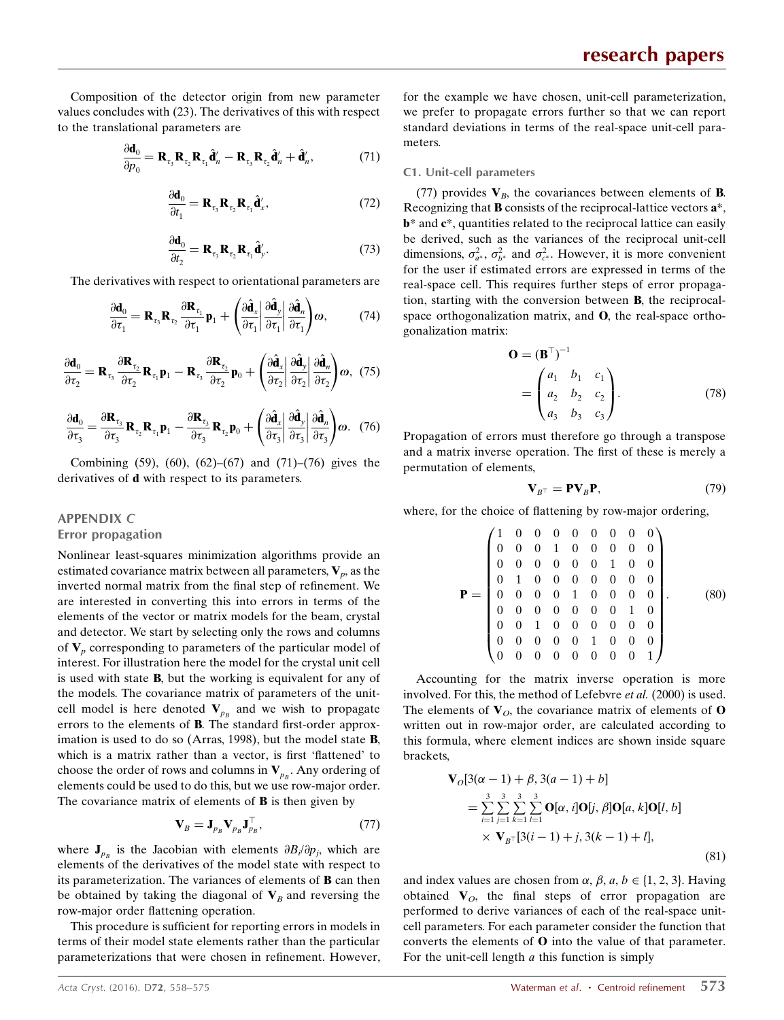Composition of the detector origin from new parameter values concludes with (23). The derivatives of this with respect to the translational parameters are

$$
\frac{\partial \mathbf{d}_0}{\partial p_0} = \mathbf{R}_{\tau_3} \mathbf{R}_{\tau_2} \mathbf{R}_{\tau_1} \hat{\mathbf{d}}_n' - \mathbf{R}_{\tau_3} \mathbf{R}_{\tau_2} \hat{\mathbf{d}}_n' + \hat{\mathbf{d}}_n',\tag{71}
$$

$$
\frac{\partial \mathbf{d}_0}{\partial t_1} = \mathbf{R}_{\tau_3} \mathbf{R}_{\tau_2} \mathbf{R}_{\tau_1} \hat{\mathbf{d}}'_x, \qquad (72)
$$

$$
\frac{\partial \mathbf{d}_0}{\partial t_2} = \mathbf{R}_{\tau_3} \mathbf{R}_{\tau_2} \mathbf{R}_{\tau_1} \hat{\mathbf{d}}'_y. \tag{73}
$$

The derivatives with respect to orientational parameters are

$$
\frac{\partial \mathbf{d}_0}{\partial \tau_1} = \mathbf{R}_{\tau_3} \mathbf{R}_{\tau_2} \frac{\partial \mathbf{R}_{\tau_1}}{\partial \tau_1} \mathbf{p}_1 + \left( \frac{\partial \hat{\mathbf{d}}_x}{\partial \tau_1} \left| \frac{\partial \hat{\mathbf{d}}_y}{\partial \tau_1} \right| \frac{\partial \hat{\mathbf{d}}_n}{\partial \tau_1} \right) \omega, \tag{74}
$$

$$
\frac{\partial \mathbf{d}_0}{\partial \tau_2} = \mathbf{R}_{\tau_3} \frac{\partial \mathbf{R}_{\tau_2}}{\partial \tau_2} \mathbf{R}_{\tau_1} \mathbf{p}_1 - \mathbf{R}_{\tau_3} \frac{\partial \mathbf{R}_{\tau_2}}{\partial \tau_2} \mathbf{p}_0 + \left( \frac{\partial \hat{\mathbf{d}}_x}{\partial \tau_2} \left| \frac{\partial \hat{\mathbf{d}}_y}{\partial \tau_2} \right| \frac{\partial \hat{\mathbf{d}}_n}{\partial \tau_2} \right) \omega, \tag{75}
$$

$$
\frac{\partial \mathbf{d}_0}{\partial \tau_3} = \frac{\partial \mathbf{R}_{\tau_3}}{\partial \tau_3} \mathbf{R}_{\tau_2} \mathbf{R}_{\tau_1} \mathbf{p}_1 - \frac{\partial \mathbf{R}_{\tau_3}}{\partial \tau_3} \mathbf{R}_{\tau_2} \mathbf{p}_0 + \left( \frac{\partial \hat{\mathbf{d}}_x}{\partial \tau_3} \middle| \frac{\partial \hat{\mathbf{d}}_y}{\partial \tau_3} \middle| \frac{\partial \hat{\mathbf{d}}_n}{\partial \tau_3} \right) \omega. \tag{76}
$$

Combining  $(59)$ ,  $(60)$ ,  $(62)$ – $(67)$  and  $(71)$ – $(76)$  gives the derivatives of d with respect to its parameters.

## APPENDIX C

Error propagation

Nonlinear least-squares minimization algorithms provide an estimated covariance matrix between all parameters,  $V_p$ , as the inverted normal matrix from the final step of refinement. We are interested in converting this into errors in terms of the elements of the vector or matrix models for the beam, crystal and detector. We start by selecting only the rows and columns of  $V_p$  corresponding to parameters of the particular model of interest. For illustration here the model for the crystal unit cell is used with state B, but the working is equivalent for any of the models. The covariance matrix of parameters of the unitcell model is here denoted  $V_{p_B}$  and we wish to propagate errors to the elements of B. The standard first-order approximation is used to do so (Arras, 1998), but the model state B, which is a matrix rather than a vector, is first 'flattened' to choose the order of rows and columns in  $V_{p_B}$ . Any ordering of elements could be used to do this, but we use row-major order. The covariance matrix of elements of  **is then given by** 

$$
\mathbf{V}_B = \mathbf{J}_{p_B} \mathbf{V}_{p_B} \mathbf{J}_{p_B}^\top,\tag{77}
$$

where  $J_{p_B}$  is the Jacobian with elements  $\partial B_i/\partial p_j$ , which are elements of the derivatives of the model state with respect to its parameterization. The variances of elements of B can then be obtained by taking the diagonal of  $V_B$  and reversing the row-major order flattening operation.

This procedure is sufficient for reporting errors in models in terms of their model state elements rather than the particular parameterizations that were chosen in refinement. However, for the example we have chosen, unit-cell parameterization, we prefer to propagate errors further so that we can report standard deviations in terms of the real-space unit-cell parameters.

#### C1. Unit-cell parameters

(77) provides  $V_B$ , the covariances between elements of **B**. Recognizing that B consists of the reciprocal-lattice vectors a\*,  **and**  $**c**<sup>*</sup>$ **, quantities related to the reciprocal lattice can easily** be derived, such as the variances of the reciprocal unit-cell dimensions,  $\sigma_{a^*}^2$ ,  $\sigma_{b^*}^2$  and  $\sigma_{c^*}^2$ . However, it is more convenient for the user if estimated errors are expressed in terms of the real-space cell. This requires further steps of error propagation, starting with the conversion between B, the reciprocalspace orthogonalization matrix, and O, the real-space orthogonalization matrix:

$$
\mathbf{O} = (\mathbf{B}^{\top})^{-1}
$$
  
=  $\begin{pmatrix} a_1 & b_1 & c_1 \\ a_2 & b_2 & c_2 \\ a_3 & b_3 & c_3 \end{pmatrix}$ . (78)

Propagation of errors must therefore go through a transpose and a matrix inverse operation. The first of these is merely a permutation of elements,

$$
\mathbf{V}_{B^{\top}} = \mathbf{PV}_{B} \mathbf{P},\tag{79}
$$

where, for the choice of flattening by row-major ordering,

$$
\mathbf{P} = \begin{pmatrix}\n1 & 0 & 0 & 0 & 0 & 0 & 0 & 0 & 0 \\
0 & 0 & 0 & 1 & 0 & 0 & 0 & 0 & 0 \\
0 & 0 & 0 & 0 & 0 & 0 & 1 & 0 & 0 \\
0 & 1 & 0 & 0 & 0 & 0 & 0 & 0 & 0 \\
0 & 0 & 0 & 0 & 1 & 0 & 0 & 0 & 0 \\
0 & 0 & 0 & 0 & 0 & 0 & 0 & 1 & 0 \\
0 & 0 & 1 & 0 & 0 & 0 & 0 & 0 & 0 \\
0 & 0 & 0 & 0 & 0 & 1 & 0 & 0 & 0 \\
0 & 0 & 0 & 0 & 0 & 0 & 0 & 0 & 1\n\end{pmatrix}.
$$
\n(80)

Accounting for the matrix inverse operation is more involved. For this, the method of Lefebvre et al. (2000) is used. The elements of  $V_O$ , the covariance matrix of elements of **O** written out in row-major order, are calculated according to this formula, where element indices are shown inside square brackets,

$$
\mathbf{V}_o[3(\alpha - 1) + \beta, 3(a - 1) + b]
$$
  
= 
$$
\sum_{i=1}^{3} \sum_{j=1}^{3} \sum_{k=1}^{3} \sum_{l=1}^{3} \mathbf{O}[\alpha, i] \mathbf{O}[j, \beta] \mathbf{O}[a, k] \mathbf{O}[l, b]
$$
  

$$
\times \mathbf{V}_{B} \cdot [3(i - 1) + j, 3(k - 1) + l],
$$
 (81)

and index values are chosen from  $\alpha$ ,  $\beta$ ,  $a$ ,  $b \in \{1, 2, 3\}$ . Having obtained  $V_O$ , the final steps of error propagation are performed to derive variances of each of the real-space unitcell parameters. For each parameter consider the function that converts the elements of O into the value of that parameter. For the unit-cell length  $a$  this function is simply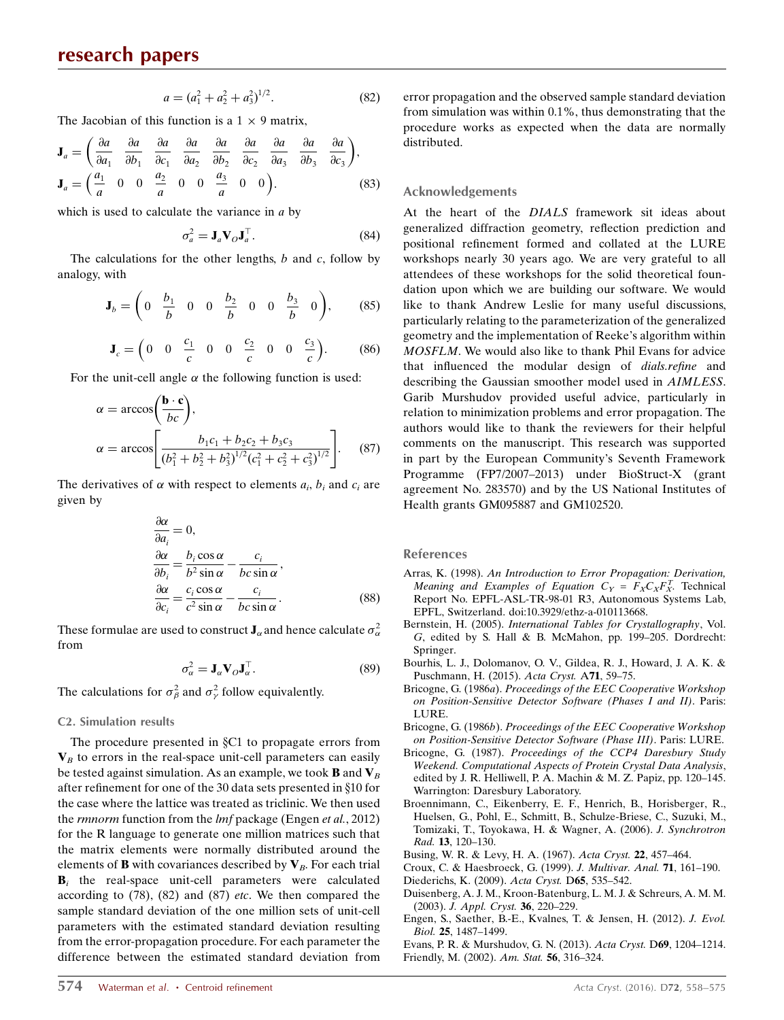$$
a = (a_1^2 + a_2^2 + a_3^2)^{1/2}.
$$
 (82)

The Jacobian of this function is a  $1 \times 9$  matrix,

$$
\mathbf{J}_a = \left(\frac{\partial a}{\partial a_1} \quad \frac{\partial a}{\partial b_1} \quad \frac{\partial a}{\partial c_1} \quad \frac{\partial a}{\partial a_2} \quad \frac{\partial a}{\partial b_2} \quad \frac{\partial a}{\partial c_2} \quad \frac{\partial a}{\partial a_3} \quad \frac{\partial a}{\partial b_3} \quad \frac{\partial a}{\partial c_3}\right),
$$
  

$$
\mathbf{J}_a = \left(\frac{a_1}{a} \quad 0 \quad 0 \quad \frac{a_2}{a} \quad 0 \quad 0 \quad \frac{a_3}{a} \quad 0 \quad 0\right).
$$
 (83)

which is used to calculate the variance in  $a$  by

$$
\sigma_a^2 = \mathbf{J}_a \mathbf{V}_O \mathbf{J}_a^\top. \tag{84}
$$

The calculations for the other lengths,  $b$  and  $c$ , follow by analogy, with

$$
\mathbf{J}_b = \begin{pmatrix} 0 & \frac{b_1}{b} & 0 & 0 & \frac{b_2}{b} & 0 & 0 & \frac{b_3}{b} & 0 \end{pmatrix}, \quad (85)
$$

$$
\mathbf{J}_c = \begin{pmatrix} 0 & 0 & \frac{c_1}{c} & 0 & 0 & \frac{c_2}{c} & 0 & 0 & \frac{c_3}{c} \end{pmatrix}.
$$
 (86)

For the unit-cell angle  $\alpha$  the following function is used:

$$
\alpha = \arccos\left(\frac{\mathbf{b} \cdot \mathbf{c}}{bc}\right),
$$
  
\n
$$
\alpha = \arccos\left[\frac{b_1c_1 + b_2c_2 + b_3c_3}{(b_1^2 + b_2^2 + b_3^2)^{1/2}(c_1^2 + c_2^2 + c_3^2)^{1/2}}\right].
$$
 (87)

The derivatives of  $\alpha$  with respect to elements  $a_i$ ,  $b_i$  and  $c_i$  are given by

$$
\frac{\partial \alpha}{\partial a_i} = 0,
$$
  
\n
$$
\frac{\partial \alpha}{\partial b_i} = \frac{b_i \cos \alpha}{b^2 \sin \alpha} - \frac{c_i}{bc \sin \alpha},
$$
  
\n
$$
\frac{\partial \alpha}{\partial c_i} = \frac{c_i \cos \alpha}{c^2 \sin \alpha} - \frac{c_i}{bc \sin \alpha}.
$$
\n(88)

These formulae are used to construct  $\mathbf{J}_{\alpha}$  and hence calculate  $\sigma_{\alpha}^2$ from

$$
\sigma_{\alpha}^2 = \mathbf{J}_{\alpha} \mathbf{V}_O \mathbf{J}_{\alpha}^\top. \tag{89}
$$

The calculations for  $\sigma_{\beta}^2$  and  $\sigma_{\gamma}^2$  follow equivalently.

#### C2. Simulation results

The procedure presented in  $C_1$  to propagate errors from  $V_B$  to errors in the real-space unit-cell parameters can easily be tested against simulation. As an example, we took **B** and  $V_B$ after refinement for one of the 30 data sets presented in §10 for the case where the lattice was treated as triclinic. We then used the *rmnorm* function from the *lmf* package (Engen et al., 2012) for the R language to generate one million matrices such that the matrix elements were normally distributed around the elements of **B** with covariances described by  $V_B$ . For each trial  $B_i$  the real-space unit-cell parameters were calculated according to  $(78)$ ,  $(82)$  and  $(87)$  *etc*. We then compared the sample standard deviation of the one million sets of unit-cell parameters with the estimated standard deviation resulting from the error-propagation procedure. For each parameter the difference between the estimated standard deviation from error propagation and the observed sample standard deviation from simulation was within 0.1%, thus demonstrating that the procedure works as expected when the data are normally distributed.

#### Acknowledgements

At the heart of the DIALS framework sit ideas about generalized diffraction geometry, reflection prediction and positional refinement formed and collated at the LURE workshops nearly 30 years ago. We are very grateful to all attendees of these workshops for the solid theoretical foundation upon which we are building our software. We would like to thank Andrew Leslie for many useful discussions, particularly relating to the parameterization of the generalized geometry and the implementation of Reeke's algorithm within MOSFLM. We would also like to thank Phil Evans for advice that influenced the modular design of dials.refine and describing the Gaussian smoother model used in AIMLESS. Garib Murshudov provided useful advice, particularly in relation to minimization problems and error propagation. The authors would like to thank the reviewers for their helpful comments on the manuscript. This research was supported in part by the European Community's Seventh Framework Programme (FP7/2007–2013) under BioStruct-X (grant agreement No. 283570) and by the US National Institutes of Health grants GM095887 and GM102520.

#### References

- Arras, K. (1998). [An Introduction to Error Propagation: Derivation,](http://scripts.iucr.org/cgi-bin/cr.cgi?rm=pdfbb&cnor=gm5043&bbid=BB1) Meaning and Examples of Equation  $C_Y = F_X C_X F_X^T$  $C_Y = F_X C_X F_X^T$ . [Technical](http://scripts.iucr.org/cgi-bin/cr.cgi?rm=pdfbb&cnor=gm5043&bbid=BB1) [Report No. EPFL-ASL-TR-98-01 R3, Autonomous Systems Lab,](http://scripts.iucr.org/cgi-bin/cr.cgi?rm=pdfbb&cnor=gm5043&bbid=BB1) [EPFL, Switzerland. doi:10.3929/ethz-a-010113668.](http://scripts.iucr.org/cgi-bin/cr.cgi?rm=pdfbb&cnor=gm5043&bbid=BB1)
- Bernstein, H. (2005). [International Tables for Crystallography](http://scripts.iucr.org/cgi-bin/cr.cgi?rm=pdfbb&cnor=gm5043&bbid=BB2), Vol. G[, edited by S. Hall & B. McMahon, pp. 199–205. Dordrecht:](http://scripts.iucr.org/cgi-bin/cr.cgi?rm=pdfbb&cnor=gm5043&bbid=BB2) [Springer.](http://scripts.iucr.org/cgi-bin/cr.cgi?rm=pdfbb&cnor=gm5043&bbid=BB2)
- [Bourhis, L. J., Dolomanov, O. V., Gildea, R. J., Howard, J. A. K. &](http://scripts.iucr.org/cgi-bin/cr.cgi?rm=pdfbb&cnor=gm5043&bbid=BB3) [Puschmann, H. \(2015\).](http://scripts.iucr.org/cgi-bin/cr.cgi?rm=pdfbb&cnor=gm5043&bbid=BB3) Acta Cryst. A71, 59–75.
- Bricogne, G. (1986a). [Proceedings of the EEC Cooperative Workshop](http://scripts.iucr.org/cgi-bin/cr.cgi?rm=pdfbb&cnor=gm5043&bbid=BB4) [on Position-Sensitive Detector Software \(Phases I and II\)](http://scripts.iucr.org/cgi-bin/cr.cgi?rm=pdfbb&cnor=gm5043&bbid=BB4). Paris: [LURE.](http://scripts.iucr.org/cgi-bin/cr.cgi?rm=pdfbb&cnor=gm5043&bbid=BB4)
- Bricogne, G. (1986b). [Proceedings of the EEC Cooperative Workshop](http://scripts.iucr.org/cgi-bin/cr.cgi?rm=pdfbb&cnor=gm5043&bbid=BB5) [on Position-Sensitive Detector Software \(Phase III\)](http://scripts.iucr.org/cgi-bin/cr.cgi?rm=pdfbb&cnor=gm5043&bbid=BB5). Paris: LURE.
- Bricogne, G. (1987). [Proceedings of the CCP4 Daresbury Study](http://scripts.iucr.org/cgi-bin/cr.cgi?rm=pdfbb&cnor=gm5043&bbid=BB6) [Weekend. Computational Aspects of Protein Crystal Data Analysis](http://scripts.iucr.org/cgi-bin/cr.cgi?rm=pdfbb&cnor=gm5043&bbid=BB6), [edited by J. R. Helliwell, P. A. Machin & M. Z. Papiz, pp. 120–145.](http://scripts.iucr.org/cgi-bin/cr.cgi?rm=pdfbb&cnor=gm5043&bbid=BB6) [Warrington: Daresbury Laboratory.](http://scripts.iucr.org/cgi-bin/cr.cgi?rm=pdfbb&cnor=gm5043&bbid=BB6)
- [Broennimann, C., Eikenberry, E. F., Henrich, B., Horisberger, R.,](http://scripts.iucr.org/cgi-bin/cr.cgi?rm=pdfbb&cnor=gm5043&bbid=BB7) [Huelsen, G., Pohl, E., Schmitt, B., Schulze-Briese, C., Suzuki, M.,](http://scripts.iucr.org/cgi-bin/cr.cgi?rm=pdfbb&cnor=gm5043&bbid=BB7) [Tomizaki, T., Toyokawa, H. & Wagner, A. \(2006\).](http://scripts.iucr.org/cgi-bin/cr.cgi?rm=pdfbb&cnor=gm5043&bbid=BB7) J. Synchrotron Rad. 13[, 120–130.](http://scripts.iucr.org/cgi-bin/cr.cgi?rm=pdfbb&cnor=gm5043&bbid=BB7)
- [Busing, W. R. & Levy, H. A. \(1967\).](http://scripts.iucr.org/cgi-bin/cr.cgi?rm=pdfbb&cnor=gm5043&bbid=BB8) Acta Cryst. 22, 457–464.

- [Duisenberg, A. J. M., Kroon-Batenburg, L. M. J. & Schreurs, A. M. M.](http://scripts.iucr.org/cgi-bin/cr.cgi?rm=pdfbb&cnor=gm5043&bbid=BB11) (2003). [J. Appl. Cryst.](http://scripts.iucr.org/cgi-bin/cr.cgi?rm=pdfbb&cnor=gm5043&bbid=BB11) 36, 220–229.
- [Engen, S., Saether, B.-E., Kvalnes, T. & Jensen, H. \(2012\).](http://scripts.iucr.org/cgi-bin/cr.cgi?rm=pdfbb&cnor=gm5043&bbid=BB12) J. Evol. Biol. 25[, 1487–1499.](http://scripts.iucr.org/cgi-bin/cr.cgi?rm=pdfbb&cnor=gm5043&bbid=BB12)

[Evans, P. R. & Murshudov, G. N. \(2013\).](http://scripts.iucr.org/cgi-bin/cr.cgi?rm=pdfbb&cnor=gm5043&bbid=BB13) Acta Cryst. D69, 1204–1214. [Friendly, M. \(2002\).](http://scripts.iucr.org/cgi-bin/cr.cgi?rm=pdfbb&cnor=gm5043&bbid=BB14) Am. Stat. 56, 316–324.

[Croux, C. & Haesbroeck, G. \(1999\).](http://scripts.iucr.org/cgi-bin/cr.cgi?rm=pdfbb&cnor=gm5043&bbid=BB9) J. Multivar. Anal. 71, 161–190. [Diederichs, K. \(2009\).](http://scripts.iucr.org/cgi-bin/cr.cgi?rm=pdfbb&cnor=gm5043&bbid=BB10) Acta Cryst. D65, 535–542.